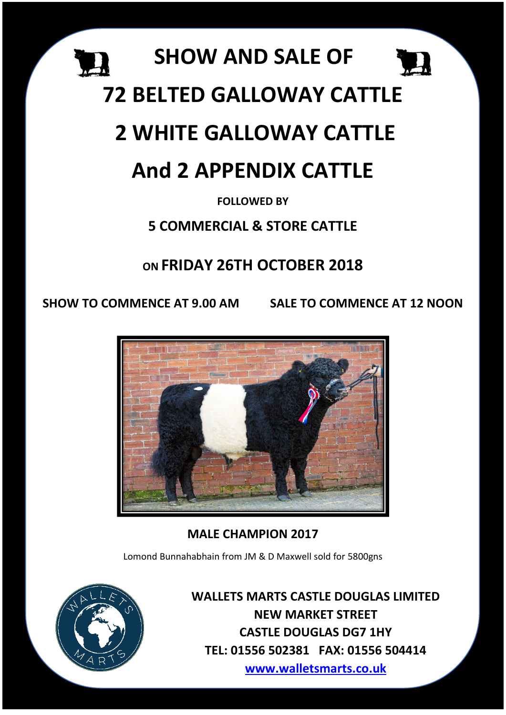

# **72 BELTED GALLOWAY CATTLE**

# **2 WHITE GALLOWAY CATTLE**

# **And 2 APPENDIX CATTLE**

## **FOLLOWED BY**

## **5 COMMERCIAL & STORE CATTLE**

## **ON FRIDAY 26TH OCTOBER 2018**

**SHOW TO COMMENCE AT 9.00 AM SALE TO COMMENCE AT 12 NOON**



## **MALE CHAMPION 2017**

Lomond Bunnahabhain from JM & D Maxwell sold for 5800gns



**WALLETS MARTS CASTLE DOUGLAS LIMITED NEW MARKET STREET CASTLE DOUGLAS DG7 1HY TEL: 01556 502381 FAX: 01556 504414 [www.walletsmarts.co.uk](http://www.walletsmarts.co.uk/)**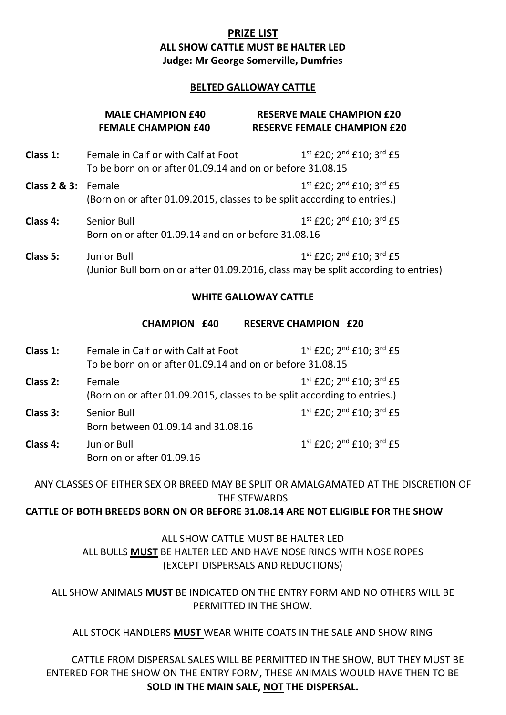#### **PRIZE LIST ALL SHOW CATTLE MUST BE HALTER LED Judge: Mr George Somerville, Dumfries**

#### **BELTED GALLOWAY CATTLE**

#### **MALE CHAMPION £40 RESERVE MALE CHAMPION £20 FEMALE CHAMPION £40 RESERVE FEMALE CHAMPION £20 Class 1:** Female in Calf or with Calf at Foot  $1^{st}$   $f$  20;  $2^{nd}$   $f$  10;  $3^{rd}$   $f$  5 To be born on or after 01.09.14 and on or before 31.08.15 **Class 2 & 3:** Female 1 1st £20; 2<sup>nd</sup> £10; 3<sup>rd</sup> £5 (Born on or after 01.09.2015, classes to be split according to entries.) **Class 4:** Senior Bull 1 <sup>st</sup> £20; 2<sup>nd</sup> £10; 3<sup>rd</sup> £5 Born on or after 01.09.14 and on or before 31.08.16 **Class 5:** Junior Bull 1st £20; 2<sup>nd</sup> £10: 3<sup>rd</sup> £5 (Junior Bull born on or after 01.09.2016, class may be split according to entries) **WHITE GALLOWAY CATTLE**

#### **CHAMPION £40 RESERVE CHAMPION £20**

**Class 1:** Female in Calf or with Calf at Foot 1st £20; 2<sup>nd</sup> £10; 3<sup>rd</sup> £5 To be born on or after 01.09.14 and on or before 31.08.15

**Class 2:** Female 1 1st £20; 2<sup>nd</sup> £10; 3<sup>rd</sup> £5 (Born on or after 01.09.2015, classes to be split according to entries.)

- **Class 3:** Senior Bull 1  $1^{st}$  £20;  $2^{nd}$  £10;  $3^{rd}$  £5 Born between 01.09.14 and 31.08.16
- **Class 4:** Junior Bull 1<sup>st</sup> £20; 2<sup>nd</sup> £10; 3<sup>rd</sup> £5 Born on or after 01.09.16

ANY CLASSES OF EITHER SEX OR BREED MAY BE SPLIT OR AMALGAMATED AT THE DISCRETION OF THE STEWARDS

**CATTLE OF BOTH BREEDS BORN ON OR BEFORE 31.08.14 ARE NOT ELIGIBLE FOR THE SHOW**

ALL SHOW CATTLE MUST BE HALTER LED ALL BULLS **MUST** BE HALTER LED AND HAVE NOSE RINGS WITH NOSE ROPES (EXCEPT DISPERSALS AND REDUCTIONS)

ALL SHOW ANIMALS **MUST** BE INDICATED ON THE ENTRY FORM AND NO OTHERS WILL BE PERMITTED IN THE SHOW.

#### ALL STOCK HANDLERS **MUST** WEAR WHITE COATS IN THE SALE AND SHOW RING

CATTLE FROM DISPERSAL SALES WILL BE PERMITTED IN THE SHOW, BUT THEY MUST BE ENTERED FOR THE SHOW ON THE ENTRY FORM, THESE ANIMALS WOULD HAVE THEN TO BE **SOLD IN THE MAIN SALE, NOT THE DISPERSAL.**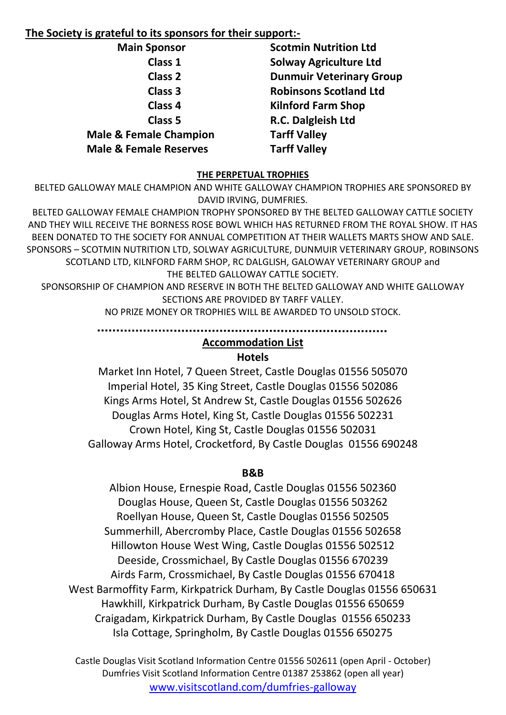#### **The Society is grateful to its sponsors for their support:-**

| <b>Main Sponsor</b>               | <b>Scotmin Nutrition Ltd</b>    |
|-----------------------------------|---------------------------------|
| Class 1                           | <b>Solway Agriculture Ltd</b>   |
| <b>Class 2</b>                    | <b>Dunmuir Veterinary Group</b> |
| <b>Class 3</b>                    | <b>Robinsons Scotland Ltd</b>   |
| <b>Class 4</b>                    | <b>Kilnford Farm Shop</b>       |
| Class <sub>5</sub>                | R.C. Dalgleish Ltd              |
| <b>Male &amp; Female Champion</b> | <b>Tarff Valley</b>             |
| <b>Male &amp; Female Reserves</b> | <b>Tarff Valley</b>             |

#### **THE PERPETUAL TROPHIES**

BELTED GALLOWAY MALE CHAMPION AND WHITE GALLOWAY CHAMPION TROPHIES ARE SPONSORED BY DAVID IRVING, DUMFRIES.

BELTED GALLOWAY FEMALE CHAMPION TROPHY SPONSORED BY THE BELTED GALLOWAY CATTLE SOCIETY AND THEY WILL RECEIVE THE BORNESS ROSE BOWL WHICH HAS RETURNED FROM THE ROYAL SHOW. IT HAS BEEN DONATED TO THE SOCIETY FOR ANNUAL COMPETITION AT THEIR WALLETS MARTS SHOW AND SALE. SPONSORS – SCOTMIN NUTRITION LTD, SOLWAY AGRICULTURE, DUNMUIR VETERINARY GROUP, ROBINSONS SCOTLAND LTD, KILNFORD FARM SHOP, RC DALGLISH, GALOWAY VETERINARY GROUP and THE BELTED GALLOWAY CATTLE SOCIETY.

SPONSORSHIP OF CHAMPION AND RESERVE IN BOTH THE BELTED GALLOWAY AND WHITE GALLOWAY SECTIONS ARE PROVIDED BY TARFF VALLEY.

NO PRIZE MONEY OR TROPHIES WILL BE AWARDED TO UNSOLD STOCK.

## **Accommodation List**

#### **Hotels**

Market Inn Hotel, 7 Queen Street, Castle Douglas 01556 505070 Imperial Hotel, 35 King Street, Castle Douglas 01556 502086 Kings Arms Hotel, St Andrew St, Castle Douglas 01556 502626 Douglas Arms Hotel, King St, Castle Douglas 01556 502231 Crown Hotel, King St, Castle Douglas 01556 502031 Galloway Arms Hotel, Crocketford, By Castle Douglas 01556 690248

#### **B&B**

Albion House, Ernespie Road, Castle Douglas 01556 502360 Douglas House, Queen St, Castle Douglas 01556 503262 Roellyan House, Queen St, Castle Douglas 01556 502505 Summerhill, Abercromby Place, Castle Douglas 01556 502658 Hillowton House West Wing, Castle Douglas 01556 502512 Deeside, Crossmichael, By Castle Douglas 01556 670239 Airds Farm, Crossmichael, By Castle Douglas 01556 670418 West Barmoffity Farm, Kirkpatrick Durham, By Castle Douglas 01556 650631 Hawkhill, Kirkpatrick Durham, By Castle Douglas 01556 650659 Craigadam, Kirkpatrick Durham, By Castle Douglas 01556 650233 Isla Cottage, Springholm, By Castle Douglas 01556 650275

Castle Douglas Visit Scotland Information Centre 01556 502611 (open April - October) Dumfries Visit Scotland Information Centre 01387 253862 (open all year) www.visitscotland.com/dumfries-galloway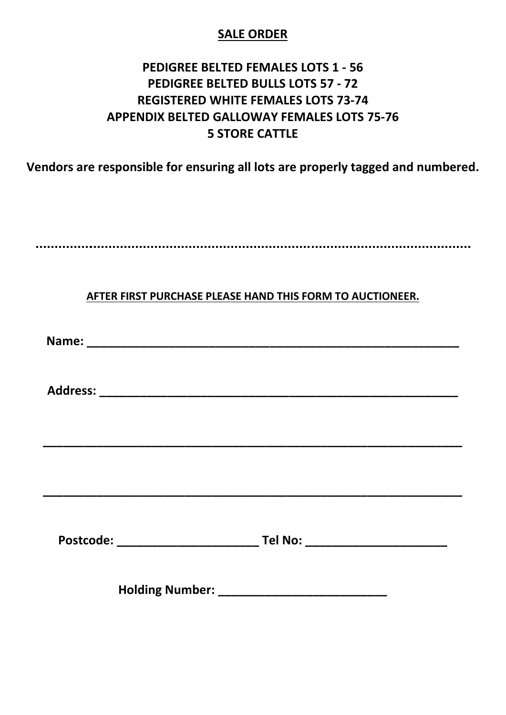## **SALE ORDER**

## **PEDIGREE BELTED FEMALES LOTS 1 - 56 PEDIGREE BELTED BULLS LOTS 57 - 72 REGISTERED WHITE FEMALES LOTS 73-74 APPENDIX BELTED GALLOWAY FEMALES LOTS 75-76 5 STORE CATTLE**

**Vendors are responsible for ensuring all lots are properly tagged and numbered.**

### **AFTER FIRST PURCHASE PLEASE HAND THIS FORM TO AUCTIONEER.**

Name: <u>\_\_\_\_\_\_\_\_\_\_\_\_\_\_\_\_\_\_\_\_\_\_\_\_\_\_\_\_\_\_\_\_\_\_\_</u>

**Address: \_\_\_\_\_\_\_\_\_\_\_\_\_\_\_\_\_\_\_\_\_\_\_\_\_\_\_\_\_\_\_\_\_\_\_\_\_\_\_\_\_\_\_\_\_\_\_\_\_\_\_\_\_**

**\_\_\_\_\_\_\_\_\_\_\_\_\_\_\_\_\_\_\_\_\_\_\_\_\_\_\_\_\_\_\_\_\_\_\_\_\_\_\_\_\_\_\_\_\_\_\_\_\_\_\_\_\_\_\_\_\_\_\_\_\_\_**

**Postcode: \_\_\_\_\_\_\_\_\_\_\_\_\_\_\_\_\_\_\_\_\_ Tel No: \_\_\_\_\_\_\_\_\_\_\_\_\_\_\_\_\_\_\_\_\_**

**\_\_\_\_\_\_\_\_\_\_\_\_\_\_\_\_\_\_\_\_\_\_\_\_\_\_\_\_\_\_\_\_\_\_\_\_\_\_\_\_\_\_\_\_\_\_\_\_\_\_\_\_\_\_\_\_\_\_\_\_\_\_**

**Holding Number: \_\_\_\_\_\_\_\_\_\_\_\_\_\_\_\_\_\_\_\_\_\_\_\_\_**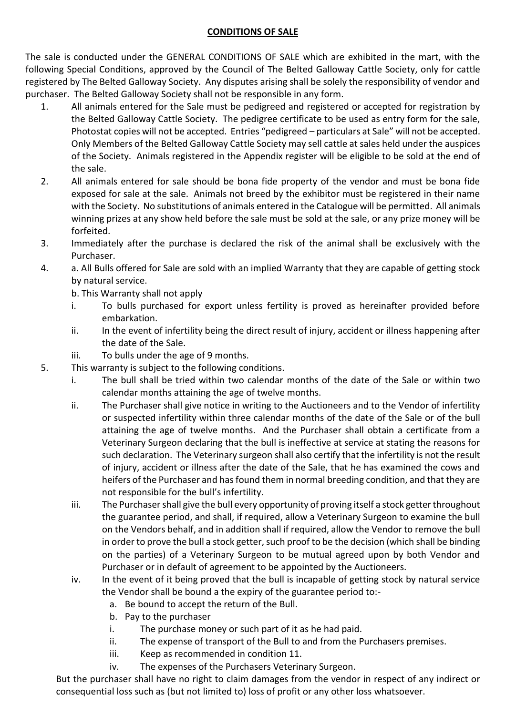#### **CONDITIONS OF SALE**

The sale is conducted under the GENERAL CONDITIONS OF SALE which are exhibited in the mart, with the following Special Conditions, approved by the Council of The Belted Galloway Cattle Society, only for cattle registered by The Belted Galloway Society. Any disputes arising shall be solely the responsibility of vendor and purchaser. The Belted Galloway Society shall not be responsible in any form.

- 1. All animals entered for the Sale must be pedigreed and registered or accepted for registration by the Belted Galloway Cattle Society. The pedigree certificate to be used as entry form for the sale, Photostat copies will not be accepted. Entries "pedigreed – particulars at Sale" will not be accepted. Only Members of the Belted Galloway Cattle Society may sell cattle at sales held under the auspices of the Society. Animals registered in the Appendix register will be eligible to be sold at the end of the sale.
- 2. All animals entered for sale should be bona fide property of the vendor and must be bona fide exposed for sale at the sale. Animals not breed by the exhibitor must be registered in their name with the Society. No substitutions of animals entered in the Catalogue will be permitted. All animals winning prizes at any show held before the sale must be sold at the sale, or any prize money will be forfeited.
- 3. Immediately after the purchase is declared the risk of the animal shall be exclusively with the Purchaser.
- 4. a. All Bulls offered for Sale are sold with an implied Warranty that they are capable of getting stock by natural service.
	- b. This Warranty shall not apply
	- i. To bulls purchased for export unless fertility is proved as hereinafter provided before embarkation.
	- ii. In the event of infertility being the direct result of injury, accident or illness happening after the date of the Sale.
	- iii. To bulls under the age of 9 months.
- 5. This warranty is subject to the following conditions.
	- i. The bull shall be tried within two calendar months of the date of the Sale or within two calendar months attaining the age of twelve months.
	- ii. The Purchaser shall give notice in writing to the Auctioneers and to the Vendor of infertility or suspected infertility within three calendar months of the date of the Sale or of the bull attaining the age of twelve months. And the Purchaser shall obtain a certificate from a Veterinary Surgeon declaring that the bull is ineffective at service at stating the reasons for such declaration. The Veterinary surgeon shall also certify that the infertility is not the result of injury, accident or illness after the date of the Sale, that he has examined the cows and heifers of the Purchaser and has found them in normal breeding condition, and that they are not responsible for the bull's infertility.
	- iii. The Purchaser shall give the bull every opportunity of proving itself a stock getter throughout the guarantee period, and shall, if required, allow a Veterinary Surgeon to examine the bull on the Vendors behalf, and in addition shall if required, allow the Vendor to remove the bull in order to prove the bull a stock getter, such proof to be the decision (which shall be binding on the parties) of a Veterinary Surgeon to be mutual agreed upon by both Vendor and Purchaser or in default of agreement to be appointed by the Auctioneers.
	- iv. In the event of it being proved that the bull is incapable of getting stock by natural service the Vendor shall be bound a the expiry of the guarantee period to:
		- a. Be bound to accept the return of the Bull.
		- b. Pay to the purchaser
		- i. The purchase money or such part of it as he had paid.
		- ii. The expense of transport of the Bull to and from the Purchasers premises.
		- iii. Keep as recommended in condition 11.
		- iv. The expenses of the Purchasers Veterinary Surgeon.

But the purchaser shall have no right to claim damages from the vendor in respect of any indirect or consequential loss such as (but not limited to) loss of profit or any other loss whatsoever.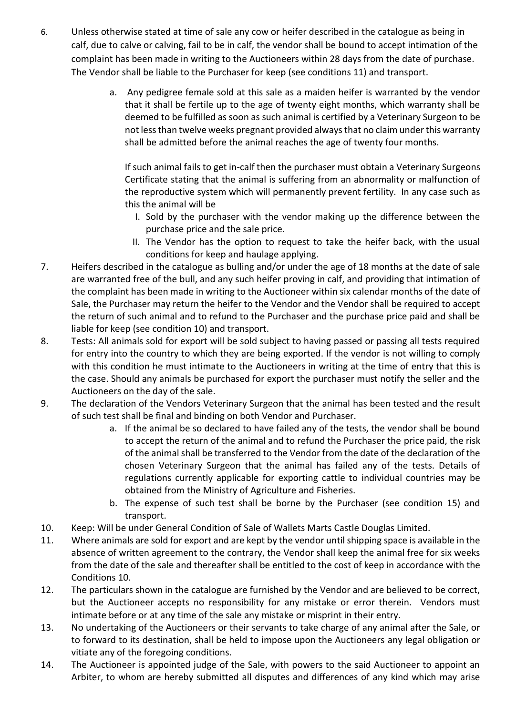- 6. Unless otherwise stated at time of sale any cow or heifer described in the catalogue as being in calf, due to calve or calving, fail to be in calf, the vendor shall be bound to accept intimation of the complaint has been made in writing to the Auctioneers within 28 days from the date of purchase. The Vendor shall be liable to the Purchaser for keep (see conditions 11) and transport.
	- a. Any pedigree female sold at this sale as a maiden heifer is warranted by the vendor that it shall be fertile up to the age of twenty eight months, which warranty shall be deemed to be fulfilled as soon as such animal is certified by a Veterinary Surgeon to be not less than twelve weeks pregnant provided always that no claim under this warranty shall be admitted before the animal reaches the age of twenty four months.

If such animal fails to get in-calf then the purchaser must obtain a Veterinary Surgeons Certificate stating that the animal is suffering from an abnormality or malfunction of the reproductive system which will permanently prevent fertility. In any case such as this the animal will be

- I. Sold by the purchaser with the vendor making up the difference between the purchase price and the sale price.
- II. The Vendor has the option to request to take the heifer back, with the usual conditions for keep and haulage applying.
- 7. Heifers described in the catalogue as bulling and/or under the age of 18 months at the date of sale are warranted free of the bull, and any such heifer proving in calf, and providing that intimation of the complaint has been made in writing to the Auctioneer within six calendar months of the date of Sale, the Purchaser may return the heifer to the Vendor and the Vendor shall be required to accept the return of such animal and to refund to the Purchaser and the purchase price paid and shall be liable for keep (see condition 10) and transport.
- 8. Tests: All animals sold for export will be sold subject to having passed or passing all tests required for entry into the country to which they are being exported. If the vendor is not willing to comply with this condition he must intimate to the Auctioneers in writing at the time of entry that this is the case. Should any animals be purchased for export the purchaser must notify the seller and the Auctioneers on the day of the sale.
- 9. The declaration of the Vendors Veterinary Surgeon that the animal has been tested and the result of such test shall be final and binding on both Vendor and Purchaser.
	- a. If the animal be so declared to have failed any of the tests, the vendor shall be bound to accept the return of the animal and to refund the Purchaser the price paid, the risk of the animal shall be transferred to the Vendor from the date of the declaration of the chosen Veterinary Surgeon that the animal has failed any of the tests. Details of regulations currently applicable for exporting cattle to individual countries may be obtained from the Ministry of Agriculture and Fisheries.
	- b. The expense of such test shall be borne by the Purchaser (see condition 15) and transport.
- 10. Keep: Will be under General Condition of Sale of Wallets Marts Castle Douglas Limited.
- 11. Where animals are sold for export and are kept by the vendor until shipping space is available in the absence of written agreement to the contrary, the Vendor shall keep the animal free for six weeks from the date of the sale and thereafter shall be entitled to the cost of keep in accordance with the Conditions 10.
- 12. The particulars shown in the catalogue are furnished by the Vendor and are believed to be correct, but the Auctioneer accepts no responsibility for any mistake or error therein. Vendors must intimate before or at any time of the sale any mistake or misprint in their entry.
- 13. No undertaking of the Auctioneers or their servants to take charge of any animal after the Sale, or to forward to its destination, shall be held to impose upon the Auctioneers any legal obligation or vitiate any of the foregoing conditions.
- 14. The Auctioneer is appointed judge of the Sale, with powers to the said Auctioneer to appoint an Arbiter, to whom are hereby submitted all disputes and differences of any kind which may arise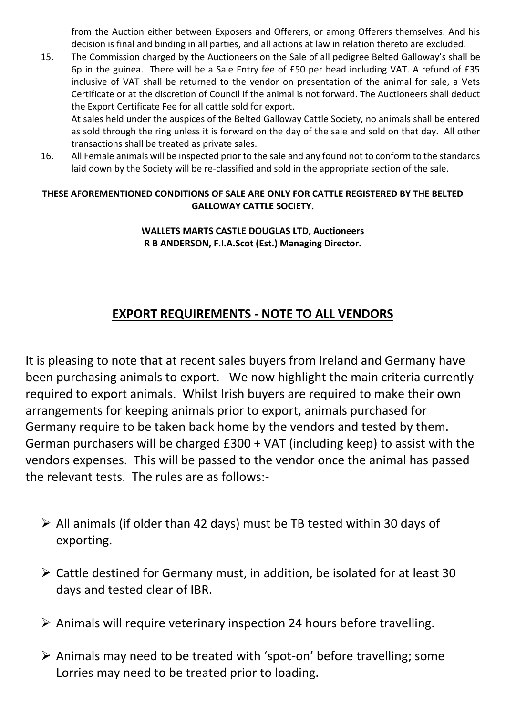from the Auction either between Exposers and Offerers, or among Offerers themselves. And his decision is final and binding in all parties, and all actions at law in relation thereto are excluded.

15. The Commission charged by the Auctioneers on the Sale of all pedigree Belted Galloway's shall be 6p in the guinea. There will be a Sale Entry fee of £50 per head including VAT. A refund of £35 inclusive of VAT shall be returned to the vendor on presentation of the animal for sale, a Vets Certificate or at the discretion of Council if the animal is not forward. The Auctioneers shall deduct the Export Certificate Fee for all cattle sold for export.

At sales held under the auspices of the Belted Galloway Cattle Society, no animals shall be entered as sold through the ring unless it is forward on the day of the sale and sold on that day. All other transactions shall be treated as private sales.

16. All Female animals will be inspected prior to the sale and any found not to conform to the standards laid down by the Society will be re-classified and sold in the appropriate section of the sale.

#### **THESE AFOREMENTIONED CONDITIONS OF SALE ARE ONLY FOR CATTLE REGISTERED BY THE BELTED GALLOWAY CATTLE SOCIETY.**

#### **WALLETS MARTS CASTLE DOUGLAS LTD, Auctioneers R B ANDERSON, F.I.A.Scot (Est.) Managing Director.**

## **EXPORT REQUIREMENTS - NOTE TO ALL VENDORS**

It is pleasing to note that at recent sales buyers from Ireland and Germany have been purchasing animals to export. We now highlight the main criteria currently required to export animals. Whilst Irish buyers are required to make their own arrangements for keeping animals prior to export, animals purchased for Germany require to be taken back home by the vendors and tested by them. German purchasers will be charged £300 + VAT (including keep) to assist with the vendors expenses. This will be passed to the vendor once the animal has passed the relevant tests. The rules are as follows:-

- ➢ All animals (if older than 42 days) must be TB tested within 30 days of exporting.
- ➢ Cattle destined for Germany must, in addition, be isolated for at least 30 days and tested clear of IBR.
- ➢ Animals will require veterinary inspection 24 hours before travelling.
- ➢ Animals may need to be treated with 'spot-on' before travelling; some Lorries may need to be treated prior to loading.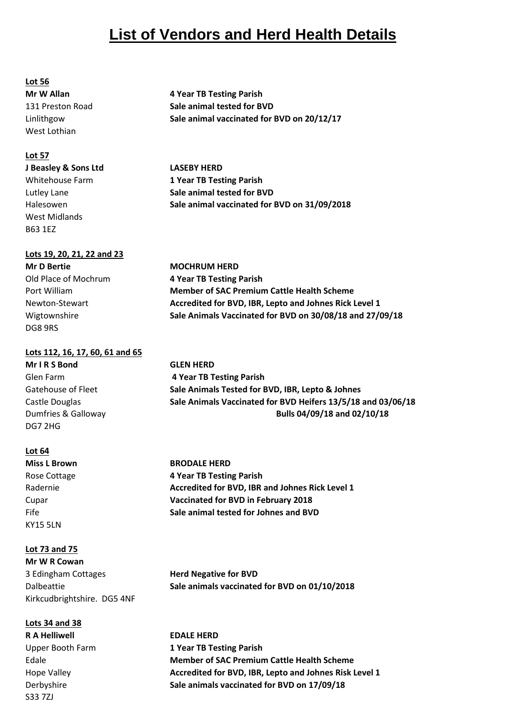## **List of Vendors and Herd Health Details**

#### **Lot 56**

West Lothian

#### **Lot 57**

#### **J Beasley & Sons Ltd LASEBY HERD**

West Midlands B63 1EZ

#### **Lots 19, 20, 21, 22 and 23**

**Mr D Bertie MOCHRUM HERD** DG8 9RS

#### **Lots 112, 16, 17, 60, 61 and 65**

**Mr I R S Bond GLEN HERD** DG7 2HG

#### **Lot 64**

KY15 5LN

#### **Lot 73 and 75**

**Mr W R Cowan** 3 Edingham Cottages **Herd Negative for BVD** Kirkcudbrightshire. DG5 4NF

**Lots 34 and 38 R A Helliwell EDALE HERD** S33 7ZJ

**Mr W Allan 4 Year TB Testing Parish** 131 Preston Road **Sale animal tested for BVD** Linlithgow **Sale animal vaccinated for BVD on 20/12/17**

Whitehouse Farm **1 Year TB Testing Parish** Lutley Lane **Sale animal tested for BVD** Halesowen **Sale animal vaccinated for BVD on 31/09/2018**

Old Place of Mochrum **4 Year TB Testing Parish** Port William **Member of SAC Premium Cattle Health Scheme** Newton-Stewart **Accredited for BVD, IBR, Lepto and Johnes Rick Level 1** Wigtownshire **Sale Animals Vaccinated for BVD on 30/08/18 and 27/09/18**

Glen Farm **4 Year TB Testing Parish** Gatehouse of Fleet **Sale Animals Tested for BVD, IBR, Lepto & Johnes** Castle Douglas **Sale Animals Vaccinated for BVD Heifers 13/5/18 and 03/06/18** Dumfries & Galloway **Bulls 04/09/18 and 02/10/18**

**Miss L Brown BRODALE HERD** Rose Cottage **4 Year TB Testing Parish** Radernie **Accredited for BVD, IBR and Johnes Rick Level 1** Cupar **Vaccinated for BVD in February 2018** Fife **Sale animal tested for Johnes and BVD**

Dalbeattie **Sale animals vaccinated for BVD on 01/10/2018**

Upper Booth Farm **1 Year TB Testing Parish** Edale **Member of SAC Premium Cattle Health Scheme** Hope Valley **Accredited for BVD, IBR, Lepto and Johnes Risk Level 1** Derbyshire **Sale animals vaccinated for BVD on 17/09/18**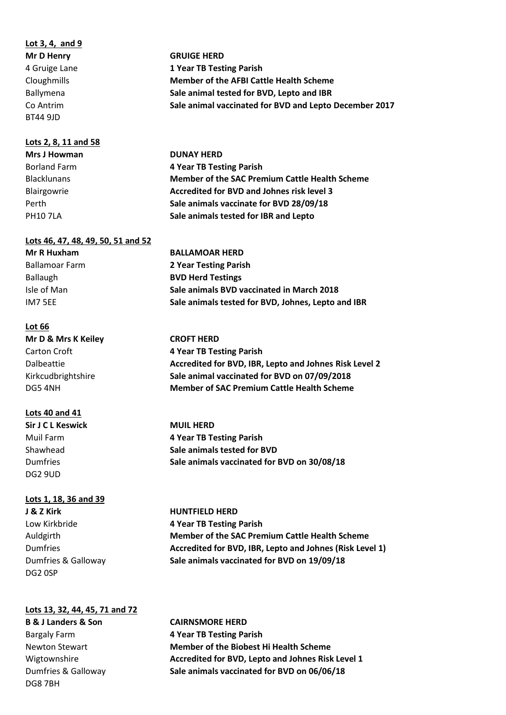#### **Lot 3, 4, and 9**

BT44 9JD

#### **Lots 2, 8, 11 and 58**

**Lots 46, 47, 48, 49, 50, 51 and 52**

#### **Lot 66**

**Mr D & Mrs K Keiley CROFT HERD**

#### **Lots 40 and 41**

**Sir J C L Keswick MUIL HERD** DG2 9UD

#### **Lots 1, 18, 36 and 39**

**J & Z Kirk HUNTFIELD HERD** DG2 0SP

#### **Lots 13, 32, 44, 45, 71 and 72**

Bargaly Farm **4 Year TB Testing Parish** DG8 7BH

**Mr D Henry GRUIGE HERD** 4 Gruige Lane **1 Year TB Testing Parish** Cloughmills **Member of the AFBI Cattle Health Scheme** Ballymena **Sale animal tested for BVD, Lepto and IBR** Co Antrim **Sale animal vaccinated for BVD and Lepto December 2017**

**Mrs J Howman DUNAY HERD** Borland Farm **4 Year TB Testing Parish** Blacklunans **Member of the SAC Premium Cattle Health Scheme** Blairgowrie **Accredited for BVD and Johnes risk level 3** Perth **Sale animals vaccinate for BVD 28/09/18** PH10 7LA **Sale animals tested for IBR and Lepto**

**Mr R Huxham BALLAMOAR HERD** Ballamoar Farm **2 Year Testing Parish** Ballaugh **BVD Herd Testings** Isle of Man **Sale animals BVD vaccinated in March 2018** IM7 5EE **Sale animals tested for BVD, Johnes, Lepto and IBR**

Carton Croft **4 Year TB Testing Parish** Dalbeattie **Accredited for BVD, IBR, Lepto and Johnes Risk Level 2** Kirkcudbrightshire **Sale animal vaccinated for BVD on 07/09/2018** DG5 4NH **Member of SAC Premium Cattle Health Scheme**

Muil Farm **4 Year TB Testing Parish** Shawhead **Sale animals tested for BVD** Dumfries **Sale animals vaccinated for BVD on 30/08/18**

Low Kirkbride **4 Year TB Testing Parish** Auldgirth **Member of the SAC Premium Cattle Health Scheme** Dumfries **Accredited for BVD, IBR, Lepto and Johnes (Risk Level 1)** Dumfries & Galloway **Sale animals vaccinated for BVD on 19/09/18**

**B & J Landers & Son CAIRNSMORE HERD** Newton Stewart **Member of the Biobest Hi Health Scheme** Wigtownshire **Accredited for BVD, Lepto and Johnes Risk Level 1** Dumfries & Galloway **Sale animals vaccinated for BVD on 06/06/18**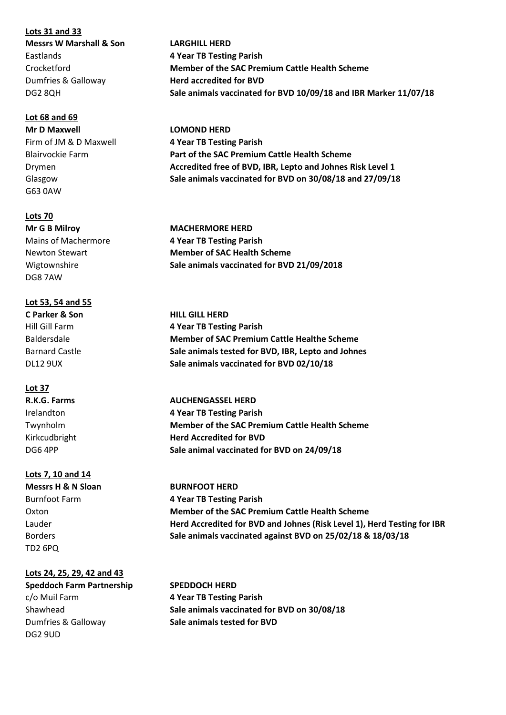**Lots 31 and 33**

#### **Lot 68 and 69**

**Mr D Maxwell LOMOND HERD** G63 0AW

#### **Lots 70**

DG8 7AW

#### **Lot 53, 54 and 55**

#### **Lot 37**

#### **Lots 7, 10 and 14**

TD2 6PQ

#### **Lots 24, 25, 29, 42 and 43**

**Speddoch Farm Partnership SPEDDOCH HERD** DG2 9UD

**Messrs W Marshall & Son LARGHILL HERD** Eastlands **4 Year TB Testing Parish** Crocketford **Member of the SAC Premium Cattle Health Scheme** Dumfries & Galloway **Herd accredited for BVD** DG2 8QH **Sale animals vaccinated for BVD 10/09/18 and IBR Marker 11/07/18**

Firm of JM & D Maxwell **4 Year TB Testing Parish** Blairvockie Farm **Part of the SAC Premium Cattle Health Scheme** Drymen **Accredited free of BVD, IBR, Lepto and Johnes Risk Level 1** Glasgow **Sale animals vaccinated for BVD on 30/08/18 and 27/09/18**

**Mr G B Milroy MACHERMORE HERD** Mains of Machermore **4 Year TB Testing Parish** Newton Stewart **Member of SAC Health Scheme** Wigtownshire **Sale animals vaccinated for BVD 21/09/2018**

**C Parker & Son HILL GILL HERD** Hill Gill Farm **4 Year TB Testing Parish** Baldersdale **Member of SAC Premium Cattle Healthe Scheme** Barnard Castle **Sale animals tested for BVD, IBR, Lepto and Johnes** DL12 9UX **Sale animals vaccinated for BVD 02/10/18**

**R.K.G. Farms AUCHENGASSEL HERD** Irelandton **4 Year TB Testing Parish** Twynholm **Member of the SAC Premium Cattle Health Scheme** Kirkcudbright **Herd Accredited for BVD** DG6 4PP **Sale animal vaccinated for BVD on 24/09/18**

**Messrs H & N Sloan BURNFOOT HERD** Burnfoot Farm **4 Year TB Testing Parish** Oxton **Member of the SAC Premium Cattle Health Scheme** Lauder **Herd Accredited for BVD and Johnes (Risk Level 1), Herd Testing for IBR** Borders **Sale animals vaccinated against BVD on 25/02/18 & 18/03/18**

c/o Muil Farm **4 Year TB Testing Parish** Shawhead **Sale animals vaccinated for BVD on 30/08/18** Dumfries & Galloway **Sale animals tested for BVD**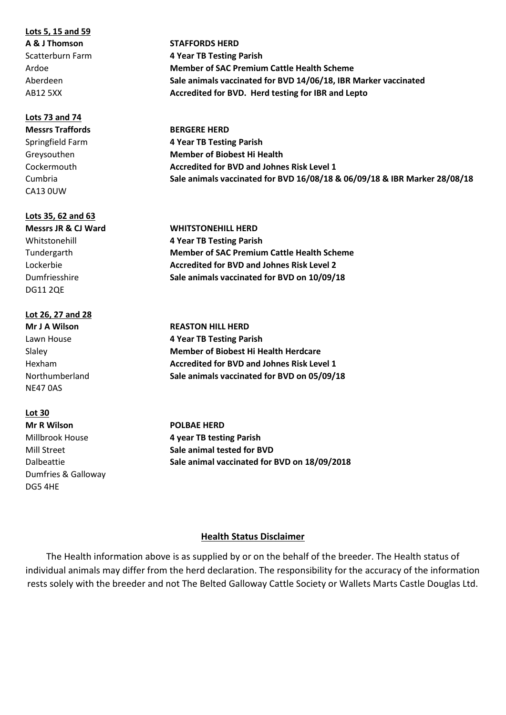#### **Lots 5, 15 and 59**

#### **Lots 73 and 74**

CA13 0UW

#### **Lots 35, 62 and 63**

DG11 2QE

#### **Lot 26, 27 and 28**

NE47 0AS

#### **Lot 30**

**Mr R Wilson POLBAE HERD** Dumfries & Galloway DG5 4HE

**A & J Thomson STAFFORDS HERD** Scatterburn Farm **4 Year TB Testing Parish** Ardoe **Member of SAC Premium Cattle Health Scheme** Aberdeen **Sale animals vaccinated for BVD 14/06/18, IBR Marker vaccinated** AB12 5XX **Accredited for BVD. Herd testing for IBR and Lepto**

**Messrs Traffords BERGERE HERD** Springfield Farm **4 Year TB Testing Parish** Greysouthen **Member of Biobest Hi Health** Cockermouth **Accredited for BVD and Johnes Risk Level 1** Cumbria **Sale animals vaccinated for BVD 16/08/18 & 06/09/18 & IBR Marker 28/08/18**

**Messrs JR & CJ Ward WHITSTONEHILL HERD** Whitstonehill **4 Year TB Testing Parish** Tundergarth **Member of SAC Premium Cattle Health Scheme** Lockerbie **Accredited for BVD and Johnes Risk Level 2** Dumfriesshire **Sale animals vaccinated for BVD on 10/09/18**

**Mr J A Wilson REASTON HILL HERD** Lawn House **4 Year TB Testing Parish** Slaley **Member of Biobest Hi Health Herdcare** Hexham **Accredited for BVD and Johnes Risk Level 1** Northumberland **Sale animals vaccinated for BVD on 05/09/18**

Millbrook House **4 year TB testing Parish** Mill Street **Sale animal tested for BVD** Dalbeattie **Sale animal vaccinated for BVD on 18/09/2018**

#### **Health Status Disclaimer**

The Health information above is as supplied by or on the behalf of the breeder. The Health status of individual animals may differ from the herd declaration. The responsibility for the accuracy of the information rests solely with the breeder and not The Belted Galloway Cattle Society or Wallets Marts Castle Douglas Ltd.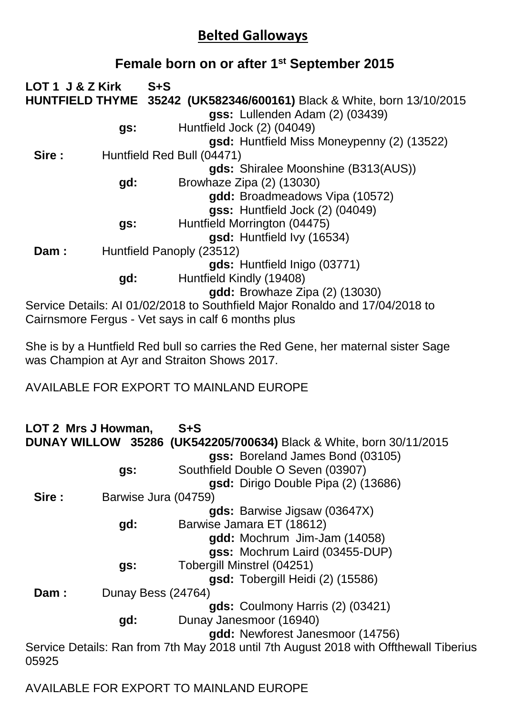## **Belted Galloways**

## **Female born on or after 1st September 2015**

| LOT 1 J & Z Kirk |     | $S + S$                                                                      |
|------------------|-----|------------------------------------------------------------------------------|
|                  |     | HUNTFIELD THYME 35242 (UK582346/600161) Black & White, born 13/10/2015       |
|                  |     | gss: Lullenden Adam (2) (03439)                                              |
|                  | gs: | Huntfield Jock (2) (04049)                                                   |
|                  |     | gsd: Huntfield Miss Moneypenny (2) (13522)                                   |
| Sire:            |     | Huntfield Red Bull (04471)                                                   |
|                  |     | gds: Shiralee Moonshine (B313(AUS))                                          |
|                  | gd: | Browhaze Zipa (2) (13030)                                                    |
|                  |     | gdd: Broadmeadows Vipa (10572)                                               |
|                  |     | gss: Huntfield Jock (2) (04049)                                              |
|                  | gs: | Huntfield Morrington (04475)                                                 |
|                  |     | gsd: Huntfield Ivy (16534)                                                   |
| Dam:             |     | Huntfield Panoply (23512)                                                    |
|                  |     | gds: Huntfield Inigo (03771)                                                 |
|                  | gd: | Huntfield Kindly (19408)                                                     |
|                  |     | <b>gdd:</b> Browhaze Zipa (2) (13030)                                        |
|                  |     | Service Details: AI 01/02/2018 to Southfield Major Ronaldo and 17/04/2018 to |
|                  |     | Cairnsmore Fergus - Vet says in calf 6 months plus                           |

She is by a Huntfield Red bull so carries the Red Gene, her maternal sister Sage was Champion at Ayr and Straiton Shows 2017.

AVAILABLE FOR EXPORT TO MAINLAND EUROPE

**LOT 2 Mrs J Howman, S+S DUNAY WILLOW 35286 (UK542205/700634)** Black & White, born 30/11/2015 **gss:** Boreland James Bond (03105) **gs:** Southfield Double O Seven (03907) **gsd:** Dirigo Double Pipa (2) (13686) **Sire :** Barwise Jura (04759) **gds:** Barwise Jigsaw (03647X) **gd:** Barwise Jamara ET (18612) **gdd:** Mochrum Jim-Jam (14058) **gss:** Mochrum Laird (03455-DUP) **gs:** Tobergill Minstrel (04251) **gsd:** Tobergill Heidi (2) (15586) **Dam :** Dunay Bess (24764) **gds:** Coulmony Harris (2) (03421) **gd:** Dunay Janesmoor (16940) **gdd:** Newforest Janesmoor (14756) Service Details: Ran from 7th May 2018 until 7th August 2018 with Offthewall Tiberius 05925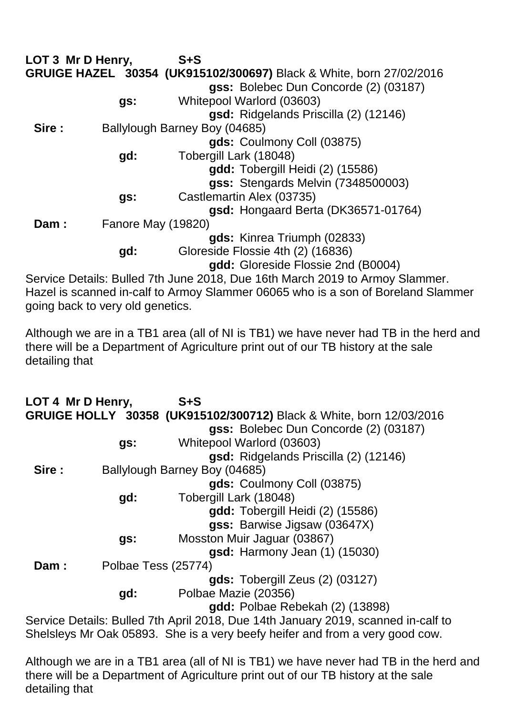| LOT 3 Mr D Henry, |                           | $S + S$                                                                      |
|-------------------|---------------------------|------------------------------------------------------------------------------|
|                   |                           | GRUIGE HAZEL 30354 (UK915102/300697) Black & White, born 27/02/2016          |
|                   |                           | gss: Bolebec Dun Concorde (2) (03187)                                        |
|                   | gs:                       | Whitepool Warlord (03603)                                                    |
|                   |                           | gsd: Ridgelands Priscilla (2) (12146)                                        |
| Sire:             |                           | Ballylough Barney Boy (04685)                                                |
|                   |                           | gds: Coulmony Coll (03875)                                                   |
|                   | gd:                       | Tobergill Lark (18048)                                                       |
|                   |                           | gdd: Tobergill Heidi (2) (15586)                                             |
|                   |                           | gss: Stengards Melvin (7348500003)                                           |
|                   | gs:                       | Castlemartin Alex (03735)                                                    |
|                   |                           | gsd: Hongaard Berta (DK36571-01764)                                          |
| Dam:              | <b>Fanore May (19820)</b> |                                                                              |
|                   |                           | gds: Kinrea Triumph (02833)                                                  |
|                   | gd:                       | Gloreside Flossie 4th (2) (16836)                                            |
|                   |                           | gdd: Gloreside Flossie 2nd (B0004)                                           |
|                   |                           | Service Details: Bulled 7th June 2018, Due 16th March 2019 to Armoy Slammer. |

Hazel is scanned in-calf to Armoy Slammer 06065 who is a son of Boreland Slammer going back to very old genetics.

Although we are in a TB1 area (all of NI is TB1) we have never had TB in the herd and there will be a Department of Agriculture print out of our TB history at the sale detailing that

| LOT 4 Mr D Henry, |                     | $S + S$                                                                           |
|-------------------|---------------------|-----------------------------------------------------------------------------------|
|                   |                     | GRUIGE HOLLY 30358 (UK915102/300712) Black & White, born 12/03/2016               |
|                   |                     | gss: Bolebec Dun Concorde (2) (03187)                                             |
|                   | gs:                 | Whitepool Warlord (03603)                                                         |
|                   |                     | gsd: Ridgelands Priscilla (2) (12146)                                             |
| Sire:             |                     | Ballylough Barney Boy (04685)                                                     |
|                   |                     | gds: Coulmony Coll (03875)                                                        |
|                   | gd:                 | Tobergill Lark (18048)                                                            |
|                   |                     | <b>gdd:</b> Tobergill Heidi (2) (15586)                                           |
|                   |                     | gss: Barwise Jigsaw (03647X)                                                      |
|                   | gs:                 | Mosston Muir Jaguar (03867)                                                       |
|                   |                     | <b>gsd:</b> Harmony Jean (1) (15030)                                              |
| Dam:              | Polbae Tess (25774) |                                                                                   |
|                   |                     | gds: Tobergill Zeus (2) (03127)                                                   |
|                   | gd:                 | Polbae Mazie (20356)                                                              |
|                   |                     | gdd: Polbae Rebekah (2) (13898)                                                   |
|                   |                     | Service Details: Bulled 7th April 2018. Due 14th January 2019, scanned in-calf to |

Service Details: Bulled 7th April 2018, Due 14th January 2019, scanned in-calf to Shelsleys Mr Oak 05893. She is a very beefy heifer and from a very good cow.

Although we are in a TB1 area (all of NI is TB1) we have never had TB in the herd and there will be a Department of Agriculture print out of our TB history at the sale detailing that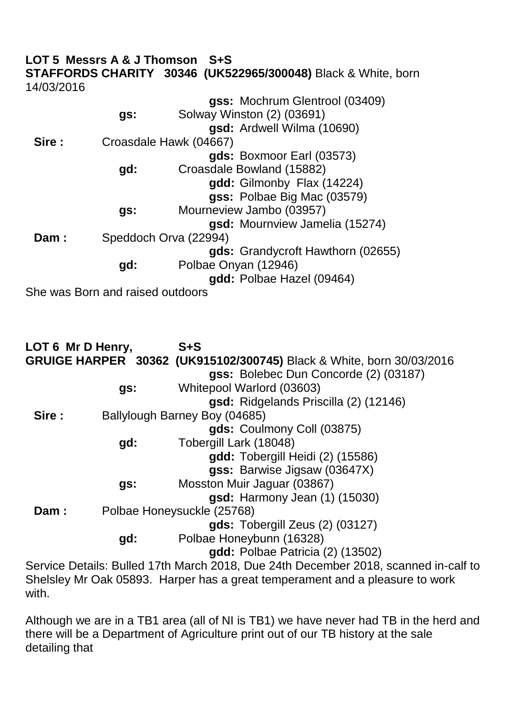#### **LOT 5 Messrs A & J Thomson S+S STAFFORDS CHARITY 30346 (UK522965/300048)** Black & White, born 14/03/2016 **gss:** Mochrum Glentrool (03409) **gs:** Solway Winston (2) (03691) **gsd:** Ardwell Wilma (10690) **Sire :** Croasdale Hawk (04667)

|      |     | gds: Boxmoor Earl (03573)         |
|------|-----|-----------------------------------|
|      | gd: | Croasdale Bowland (15882)         |
|      |     | gdd: Gilmonby Flax (14224)        |
|      |     | gss: Polbae Big Mac (03579)       |
|      | gs: | Mourneview Jambo (03957)          |
|      |     | gsd: Mournview Jamelia (15274)    |
| Dam: |     | Speddoch Orva (22994)             |
|      |     | gds: Grandycroft Hawthorn (02655) |
|      | gd: | Polbae Onyan (12946)              |
|      |     | gdd: Polbae Hazel (09464)         |

She was Born and raised outdoors

**LOT 6 Mr D Henry, S+S GRUIGE HARPER 30362 (UK915102/300745)** Black & White, born 30/03/2016 **gss:** Bolebec Dun Concorde (2) (03187) **gs:** Whitepool Warlord (03603) **gsd:** Ridgelands Priscilla (2) (12146) **Sire :** Ballylough Barney Boy (04685) **gds:** Coulmony Coll (03875) **gd:** Tobergill Lark (18048) **gdd:** Tobergill Heidi (2) (15586) **gss:** Barwise Jigsaw (03647X) **gs:** Mosston Muir Jaguar (03867) **gsd:** Harmony Jean (1) (15030) Dam : Polbae Honeysuckle (25768) **gds:** Tobergill Zeus (2) (03127) **gd:** Polbae Honeybunn (16328) **gdd:** Polbae Patricia (2) (13502) Service Details: Bulled 17th March 2018, Due 24th December 2018, scanned in-calf to

Shelsley Mr Oak 05893. Harper has a great temperament and a pleasure to work with.

Although we are in a TB1 area (all of NI is TB1) we have never had TB in the herd and there will be a Department of Agriculture print out of our TB history at the sale detailing that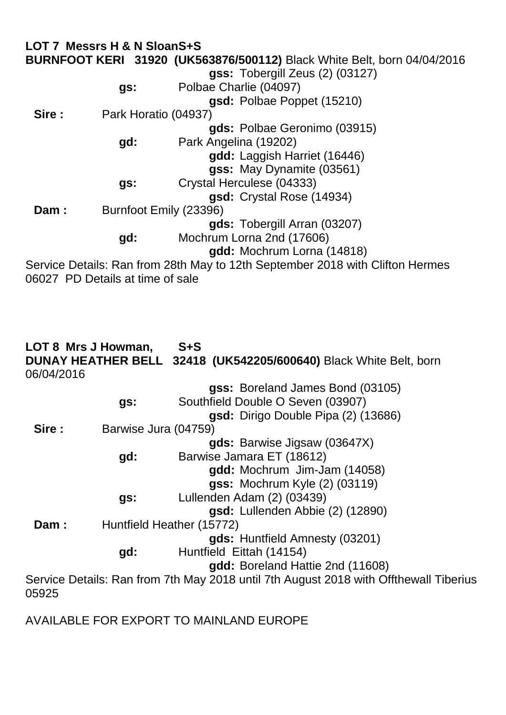|            | LOT 7 Messrs H & N SloanS+S      |                                                                                                                           |
|------------|----------------------------------|---------------------------------------------------------------------------------------------------------------------------|
|            |                                  | <b>BURNFOOT KERI 31920 (UK563876/500112)</b> Black White Belt, born 04/04/2016                                            |
|            |                                  | $gss:$ Tobergill Zeus $(2)$ $(03127)$                                                                                     |
|            | gs:                              | Polbae Charlie (04097)                                                                                                    |
|            |                                  | gsd: Polbae Poppet (15210)                                                                                                |
| Sire:      | Park Horatio (04937)             |                                                                                                                           |
|            |                                  | gds: Polbae Geronimo (03915)                                                                                              |
|            | gd:                              | Park Angelina (19202)                                                                                                     |
|            |                                  | gdd: Laggish Harriet (16446)                                                                                              |
|            |                                  | gss: May Dynamite (03561)                                                                                                 |
|            | gs:                              | Crystal Herculese (04333)                                                                                                 |
|            |                                  | gsd: Crystal Rose (14934)                                                                                                 |
| Dam:       |                                  | Burnfoot Emily (23396)                                                                                                    |
|            |                                  | gds: Tobergill Arran (03207)                                                                                              |
|            | gd:                              | Mochrum Lorna 2nd (17606)                                                                                                 |
|            |                                  | gdd: Mochrum Lorna (14818)                                                                                                |
|            | 06027 PD Details at time of sale | Service Details: Ran from 28th May to 12th September 2018 with Clifton Hermes                                             |
|            |                                  |                                                                                                                           |
| 06/04/2016 | LOT 8 Mrs J Howman,              | $S + S$<br>DUNAY HEATHER BELL 32418 (UK542205/600640) Black White Belt, born                                              |
|            |                                  | gss: Boreland James Bond (03105)                                                                                          |
|            | gs:                              | Southfield Double O Seven (03907)                                                                                         |
|            |                                  | gsd: Dirigo Double Pipa (2) (13686)                                                                                       |
| Sire :     | Barwise Jura (04759)             |                                                                                                                           |
|            |                                  | gds: Barwise Jigsaw (03647X)                                                                                              |
|            | gd:                              | Barwise Jamara ET (18612)                                                                                                 |
|            |                                  | gdd: Mochrum Jim-Jam (14058)                                                                                              |
|            |                                  | <b>gss: Mochrum Kyle (2) (03119)</b>                                                                                      |
|            | gs:                              | Lullenden Adam (2) (03439)                                                                                                |
|            |                                  | gsd: Lullenden Abbie (2) (12890)                                                                                          |
| Dam:       |                                  | Huntfield Heather (15772)                                                                                                 |
|            |                                  | gds: Huntfield Amnesty (03201)                                                                                            |
|            | gd:                              | Huntfield Eittah (14154)                                                                                                  |
|            |                                  | gdd: Boreland Hattie 2nd (11608)<br>Service Details: Ran from 7th May 2018 until 7th August 2018 with Offthewall Tiberius |
| 05925      |                                  |                                                                                                                           |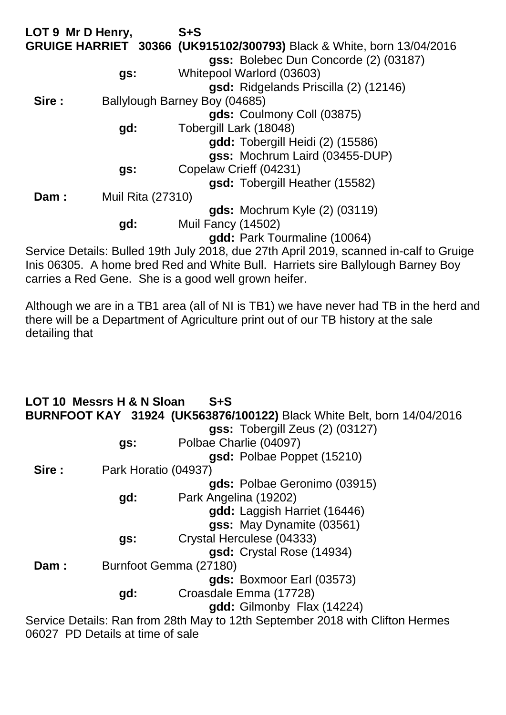| LOT 9 Mr D Henry, |                          | $S + S$                                                               |
|-------------------|--------------------------|-----------------------------------------------------------------------|
|                   |                          | GRUIGE HARRIET 30366 (UK915102/300793) Black & White, born 13/04/2016 |
|                   |                          | gss: Bolebec Dun Concorde (2) (03187)                                 |
|                   | gs:                      | Whitepool Warlord (03603)                                             |
|                   |                          | gsd: Ridgelands Priscilla (2) (12146)                                 |
| Sire:             |                          | Ballylough Barney Boy (04685)                                         |
|                   |                          | gds: Coulmony Coll (03875)                                            |
|                   | gd:                      | Tobergill Lark (18048)                                                |
|                   |                          | gdd: Tobergill Heidi (2) (15586)                                      |
|                   |                          | gss: Mochrum Laird (03455-DUP)                                        |
|                   | gs:                      | Copelaw Crieff (04231)                                                |
|                   |                          | gsd: Tobergill Heather (15582)                                        |
| Dam:              | <b>Muil Rita (27310)</b> |                                                                       |
|                   |                          | gds: Mochrum Kyle (2) (03119)                                         |
|                   | gd:                      | Muil Fancy (14502)                                                    |
|                   |                          | gdd: Park Tourmaline (10064)                                          |
|                   |                          |                                                                       |

Service Details: Bulled 19th July 2018, due 27th April 2019, scanned in-calf to Gruige Inis 06305. A home bred Red and White Bull. Harriets sire Ballylough Barney Boy carries a Red Gene. She is a good well grown heifer.

Although we are in a TB1 area (all of NI is TB1) we have never had TB in the herd and there will be a Department of Agriculture print out of our TB history at the sale detailing that

|       | LOT 10 Messrs H & N Sloan | $S + S$                                                                       |
|-------|---------------------------|-------------------------------------------------------------------------------|
|       |                           | <b>BURNFOOT KAY 31924 (UK563876/100122)</b> Black White Belt, born 14/04/2016 |
|       |                           | gss: Tobergill Zeus (2) (03127)                                               |
|       | gs:                       | Polbae Charlie (04097)                                                        |
|       |                           | gsd: Polbae Poppet (15210)                                                    |
| Sire: | Park Horatio (04937)      |                                                                               |
|       |                           | gds: Polbae Geronimo (03915)                                                  |
|       | gd:                       | Park Angelina (19202)                                                         |
|       |                           | gdd: Laggish Harriet (16446)                                                  |
|       |                           | gss: May Dynamite (03561)                                                     |
|       | gs:                       | Crystal Herculese (04333)                                                     |
|       |                           | gsd: Crystal Rose (14934)                                                     |
| Dam:  |                           | Burnfoot Gemma (27180)                                                        |
|       |                           | gds: Boxmoor Earl (03573)                                                     |
|       | gd:                       | Croasdale Emma (17728)                                                        |
|       |                           | gdd: Gilmonby Flax (14224)                                                    |
|       |                           | Service Details: Ran from 28th May to 12th September 2018 with Clifton Hermes |

06027 PD Details at time of sale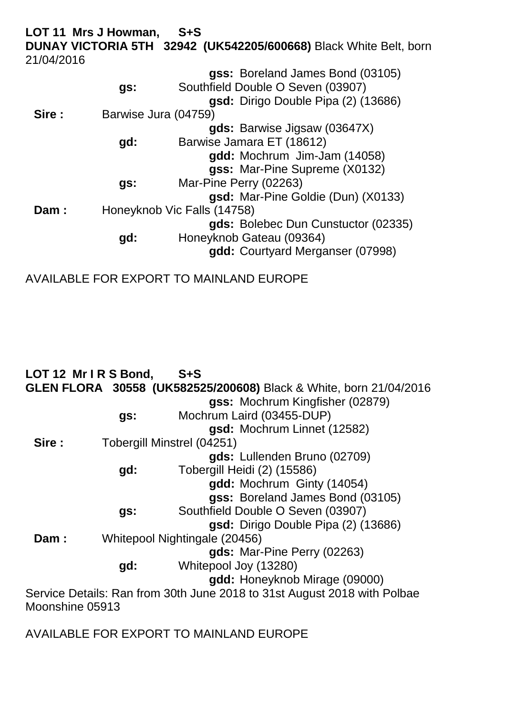**LOT 11 Mrs J Howman, S+S DUNAY VICTORIA 5TH 32942 (UK542205/600668)** Black White Belt, born 21/04/2016

|       | gs:                  | gss: Boreland James Bond (03105)<br>Southfield Double O Seven (03907)<br>gsd: Dirigo Double Pipa (2) (13686) |
|-------|----------------------|--------------------------------------------------------------------------------------------------------------|
| Sire: | Barwise Jura (04759) |                                                                                                              |
|       |                      | gds: Barwise Jigsaw (03647X)                                                                                 |
|       | gd:                  | Barwise Jamara ET (18612)                                                                                    |
|       |                      | gdd: Mochrum Jim-Jam (14058)                                                                                 |
|       |                      | gss: Mar-Pine Supreme (X0132)                                                                                |
|       | gs:                  | Mar-Pine Perry (02263)                                                                                       |
|       |                      | gsd: Mar-Pine Goldie (Dun) (X0133)                                                                           |
| Dam:  |                      | Honeyknob Vic Falls (14758)                                                                                  |
|       |                      | gds: Bolebec Dun Cunstuctor (02335)                                                                          |
|       | gd:                  | Honeyknob Gateau (09364)                                                                                     |
|       |                      | gdd: Courtyard Merganser (07998)                                                                             |
|       |                      |                                                                                                              |

AVAILABLE FOR EXPORT TO MAINLAND EUROPE

|        | LOT 12 Mr IRS Bond,        | $S + S$                                                                  |
|--------|----------------------------|--------------------------------------------------------------------------|
|        |                            | GLEN FLORA 30558 (UK582525/200608) Black & White, born 21/04/2016        |
|        |                            | gss: Mochrum Kingfisher (02879)                                          |
|        | gs:                        | Mochrum Laird (03455-DUP)                                                |
|        |                            | gsd: Mochrum Linnet (12582)                                              |
| Sire : | Tobergill Minstrel (04251) |                                                                          |
|        |                            | gds: Lullenden Bruno (02709)                                             |
|        | gd:                        | <b>Tobergill Heidi (2) (15586)</b>                                       |
|        |                            | gdd: Mochrum Ginty (14054)                                               |
|        |                            | gss: Boreland James Bond (03105)                                         |
|        | gs:                        | Southfield Double O Seven (03907)                                        |
|        |                            | gsd: Dirigo Double Pipa (2) (13686)                                      |
| Dam:   |                            | Whitepool Nightingale (20456)                                            |
|        |                            | gds: Mar-Pine Perry (02263)                                              |
|        | gd:                        | Whitepool Joy (13280)                                                    |
|        |                            | gdd: Honeyknob Mirage (09000)                                            |
|        |                            | Service Details: Ran from 30th June 2018 to 31st August 2018 with Polbae |
|        | Moonshine 05913            |                                                                          |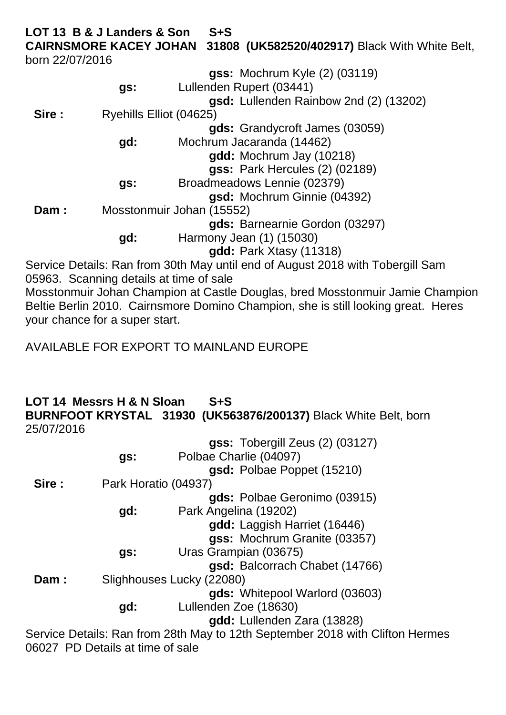**LOT 13 B & J Landers & Son S+S CAIRNSMORE KACEY JOHAN 31808 (UK582520/402917)** Black With White Belt, born 22/07/2016

|       |                         | gss: Mochrum Kyle (2) (03119)                                                  |
|-------|-------------------------|--------------------------------------------------------------------------------|
|       | gs:                     | Lullenden Rupert (03441)                                                       |
|       |                         | gsd: Lullenden Rainbow 2nd (2) (13202)                                         |
| Sire: | Ryehills Elliot (04625) |                                                                                |
|       |                         | gds: Grandycroft James (03059)                                                 |
|       | gd:                     | Mochrum Jacaranda (14462)                                                      |
|       |                         | gdd: Mochrum Jay (10218)                                                       |
|       |                         | <b>gss: Park Hercules (2) (02189)</b>                                          |
|       | gs:                     | Broadmeadows Lennie (02379)                                                    |
|       |                         | gsd: Mochrum Ginnie (04392)                                                    |
| Dam:  |                         | Mosstonmuir Johan (15552)                                                      |
|       |                         | gds: Barnearnie Gordon (03297)                                                 |
|       | gd:                     | Harmony Jean (1) (15030)                                                       |
|       |                         | gdd: Park Xtasy (11318)                                                        |
|       |                         | Service Details: Ran from 30th May until end of August 2018 with Tobergill Sam |

05963. Scanning details at time of sale

Mosstonmuir Johan Champion at Castle Douglas, bred Mosstonmuir Jamie Champion Beltie Berlin 2010. Cairnsmore Domino Champion, she is still looking great. Heres your chance for a super start.

AVAILABLE FOR EXPORT TO MAINLAND EUROPE

### **LOT 14 Messrs H & N Sloan S+S BURNFOOT KRYSTAL 31930 (UK563876/200137)** Black White Belt, born 25/07/2016

|        |                      | gss: Tobergill Zeus (2) (03127)                                               |
|--------|----------------------|-------------------------------------------------------------------------------|
|        | gs:                  | Polbae Charlie (04097)                                                        |
|        |                      | gsd: Polbae Poppet (15210)                                                    |
| Sire : | Park Horatio (04937) |                                                                               |
|        |                      | gds: Polbae Geronimo (03915)                                                  |
|        | gd:                  | Park Angelina (19202)                                                         |
|        |                      | gdd: Laggish Harriet (16446)                                                  |
|        |                      | gss: Mochrum Granite (03357)                                                  |
|        | gs:                  | Uras Grampian (03675)                                                         |
|        |                      | gsd: Balcorrach Chabet (14766)                                                |
| Dam:   |                      | Slighhouses Lucky (22080)                                                     |
|        |                      | gds: Whitepool Warlord (03603)                                                |
|        | gd:                  | Lullenden Zoe (18630)                                                         |
|        |                      | gdd: Lullenden Zara (13828)                                                   |
|        |                      | Service Details: Ran from 28th May to 12th Sentember 2018 with Clifton Hermes |

Service Details: Ran from 28th May to 12th September 2018 with Clifton Hermes 06027 PD Details at time of sale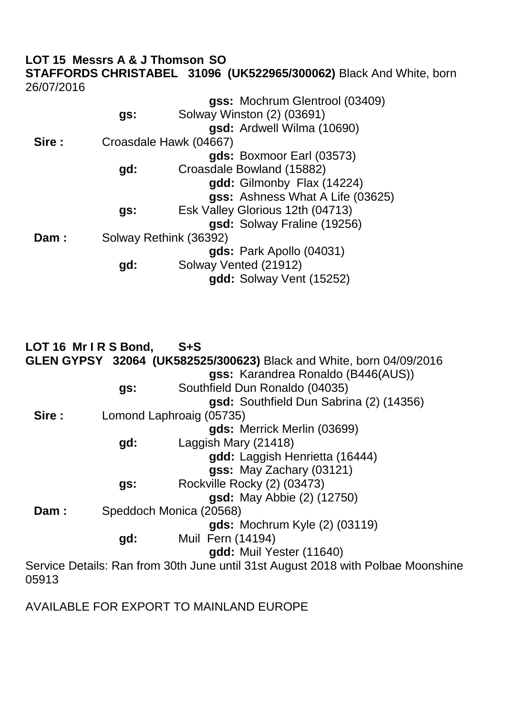### **LOT 15 Messrs A & J Thomson SO**

**STAFFORDS CHRISTABEL 31096 (UK522965/300062)** Black And White, born 26/07/2016

|        |     | gss: Mochrum Glentrool (03409)   |
|--------|-----|----------------------------------|
|        | gs: | Solway Winston (2) (03691)       |
|        |     | gsd: Ardwell Wilma (10690)       |
| Sire : |     | Croasdale Hawk (04667)           |
|        |     | gds: Boxmoor Earl (03573)        |
|        | gd: | Croasdale Bowland (15882)        |
|        |     | gdd: Gilmonby Flax (14224)       |
|        |     | gss: Ashness What A Life (03625) |
|        | gs: | Esk Valley Glorious 12th (04713) |
|        |     | gsd: Solway Fraline (19256)      |
| Dam:   |     | Solway Rethink (36392)           |
|        |     | gds: Park Apollo (04031)         |
|        | gd: | Solway Vented (21912)            |
|        |     | gdd: Solway Vent (15252)         |

|       | LOT 16 Mr IRS Bond, | $S + S$                                                                          |
|-------|---------------------|----------------------------------------------------------------------------------|
|       |                     | <b>GLEN GYPSY 32064 (UK582525/300623)</b> Black and White, born 04/09/2016       |
|       |                     | gss: Karandrea Ronaldo (B446(AUS))                                               |
|       | gs:                 | Southfield Dun Ronaldo (04035)                                                   |
|       |                     | gsd: Southfield Dun Sabrina (2) (14356)                                          |
| Sire: |                     | Lomond Laphroaig (05735)                                                         |
|       |                     | gds: Merrick Merlin (03699)                                                      |
|       | gd:                 | Laggish Mary (21418)                                                             |
|       |                     | gdd: Laggish Henrietta (16444)                                                   |
|       |                     | gss: May Zachary (03121)                                                         |
|       | gs:                 | Rockville Rocky (2) (03473)                                                      |
|       |                     | <b>gsd:</b> May Abbie (2) (12750)                                                |
| Dam:  |                     | Speddoch Monica (20568)                                                          |
|       |                     | gds: Mochrum Kyle (2) (03119)                                                    |
|       | gd:                 | Muil Fern (14194)                                                                |
|       |                     | gdd: Muil Yester (11640)                                                         |
|       |                     | Service Details: Ran from 30th June until 31st August 2018 with Polbae Moonshine |
| 05913 |                     |                                                                                  |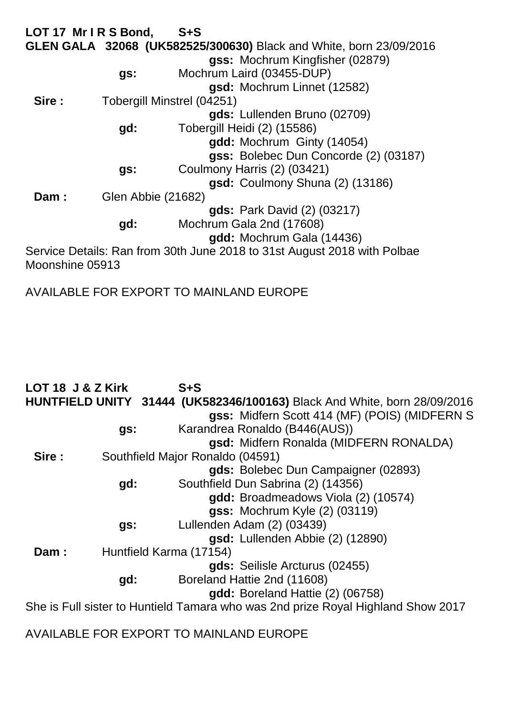**LOT 17 Mr I R S Bond, S+S GLEN GALA 32068 (UK582525/300630)** Black and White, born 23/09/2016 **gss:** Mochrum Kingfisher (02879) **gs:** Mochrum Laird (03455-DUP) **gsd:** Mochrum Linnet (12582) **Sire :** Tobergill Minstrel (04251) **gds:** Lullenden Bruno (02709) **gd:** Tobergill Heidi (2) (15586) **gdd:** Mochrum Ginty (14054) **gss:** Bolebec Dun Concorde (2) (03187) **gs:** Coulmony Harris (2) (03421) **gsd:** Coulmony Shuna (2) (13186) **Dam :** Glen Abbie (21682) **gds:** Park David (2) (03217) **gd:** Mochrum Gala 2nd (17608) **gdd:** Mochrum Gala (14436) Service Details: Ran from 30th June 2018 to 31st August 2018 with Polbae Moonshine 05913

AVAILABLE FOR EXPORT TO MAINLAND EUROPE

| LOT 18 J & Z Kirk |     | $S + S$                                                                          |
|-------------------|-----|----------------------------------------------------------------------------------|
|                   |     | HUNTFIELD UNITY 31444 (UK582346/100163) Black And White, born 28/09/2016         |
|                   |     | gss: Midfern Scott 414 (MF) (POIS) (MIDFERN S                                    |
|                   | gs: | Karandrea Ronaldo (B446(AUS))                                                    |
|                   |     | gsd: Midfern Ronalda (MIDFERN RONALDA)                                           |
| Sire:             |     | Southfield Major Ronaldo (04591)                                                 |
|                   |     | gds: Bolebec Dun Campaigner (02893)                                              |
|                   | gd: | Southfield Dun Sabrina (2) (14356)                                               |
|                   |     | gdd: Broadmeadows Viola (2) (10574)                                              |
|                   |     | <b>gss: Mochrum Kyle (2) (03119)</b>                                             |
|                   | gs: | Lullenden Adam (2) (03439)                                                       |
|                   |     | gsd: Lullenden Abbie (2) (12890)                                                 |
| Dam:              |     | Huntfield Karma (17154)                                                          |
|                   |     | gds: Seilisle Arcturus (02455)                                                   |
|                   | gd: | Boreland Hattie 2nd (11608)                                                      |
|                   |     | gdd: Boreland Hattie (2) (06758)                                                 |
|                   |     | She is Full sister to Huntield Tamara who was 2nd prize Royal Highland Show 2017 |
|                   |     |                                                                                  |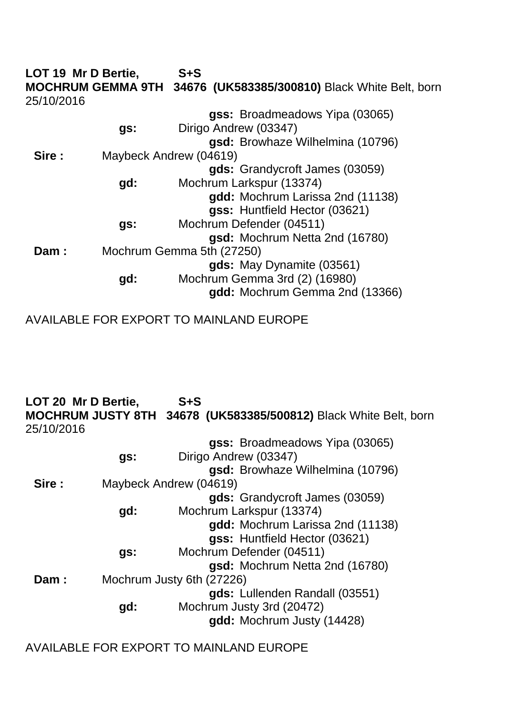**LOT 19 Mr D Bertie, S+S MOCHRUM GEMMA 9TH 34676 (UK583385/300810)** Black White Belt, born 25/10/2016 **gss:** Broadmeadows Yipa (03065) **gs:** Dirigo Andrew (03347) **gsd:** Browhaze Wilhelmina (10796) **Sire :** Maybeck Andrew (04619) **gds:** Grandycroft James (03059) **gd:** Mochrum Larkspur (13374) **gdd:** Mochrum Larissa 2nd (11138) **gss:** Huntfield Hector (03621) **gs:** Mochrum Defender (04511) **gsd:** Mochrum Netta 2nd (16780) **Dam :** Mochrum Gemma 5th (27250) **gds:** May Dynamite (03561) **gd:** Mochrum Gemma 3rd (2) (16980) **gdd:** Mochrum Gemma 2nd (13366)

AVAILABLE FOR EXPORT TO MAINLAND EUROPE

**LOT 20 Mr D Bertie, S+S MOCHRUM JUSTY 8TH 34678 (UK583385/500812)** Black White Belt, born 25/10/2016 **gss:** Broadmeadows Yipa (03065) **gs:** Dirigo Andrew (03347) **gsd:** Browhaze Wilhelmina (10796) **Sire :** Maybeck Andrew (04619) **gds:** Grandycroft James (03059) **gd:** Mochrum Larkspur (13374) **gdd:** Mochrum Larissa 2nd (11138) **gss:** Huntfield Hector (03621) **gs:** Mochrum Defender (04511) **gsd:** Mochrum Netta 2nd (16780) **Dam :** Mochrum Justy 6th (27226) **gds:** Lullenden Randall (03551) **gd:** Mochrum Justy 3rd (20472) **gdd:** Mochrum Justy (14428)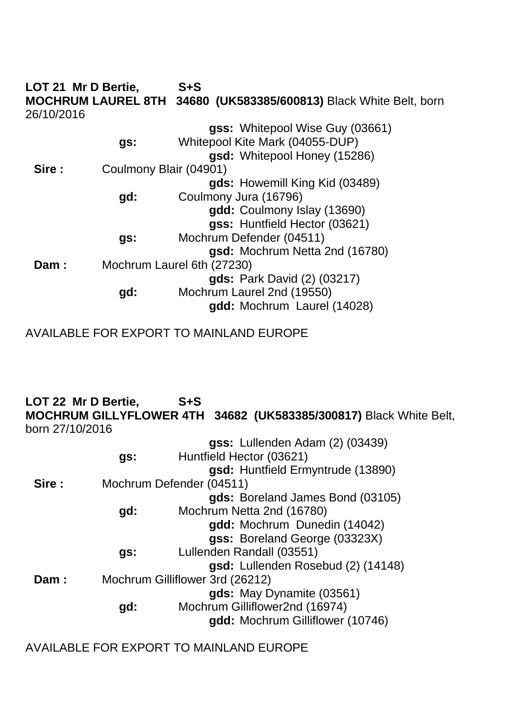|            | LOT 21 Mr D Bertie,       | $S + S$                                        |
|------------|---------------------------|------------------------------------------------|
|            | <b>MOCHRUM LAUREL 8TH</b> | 34680 (UK583385/600813) Black White Belt, born |
| 26/10/2016 |                           |                                                |
|            |                           | gss: Whitepool Wise Guy (03661)                |
|            | gs:                       | Whitepool Kite Mark (04055-DUP)                |
|            |                           | gsd: Whitepool Honey (15286)                   |
| Sire:      | Coulmony Blair (04901)    |                                                |
|            |                           | gds: Howemill King Kid (03489)                 |
|            | gd:                       | Coulmony Jura (16796)                          |
|            |                           | gdd: Coulmony Islay (13690)                    |
|            |                           | gss: Huntfield Hector (03621)                  |
|            | gs:                       | Mochrum Defender (04511)                       |
|            |                           | gsd: Mochrum Netta 2nd (16780)                 |
| Dam:       |                           | Mochrum Laurel 6th (27230)                     |
|            |                           | <b>gds:</b> Park David (2) (03217)             |
|            | gd:                       | Mochrum Laurel 2nd (19550)                     |
|            |                           | gdd: Mochrum Laurel (14028)                    |
|            |                           |                                                |

AVAILABLE FOR EXPORT TO MAINLAND EUROPE

**LOT 22 Mr D Bertie, S+S MOCHRUM GILLYFLOWER 4TH 34682 (UK583385/300817)** Black White Belt, born 27/10/2016

|        |     | gss: Lullenden Adam (2) (03439)    |
|--------|-----|------------------------------------|
|        | gs: | Huntfield Hector (03621)           |
|        |     | gsd: Huntfield Ermyntrude (13890)  |
| Sire : |     | Mochrum Defender (04511)           |
|        |     | gds: Boreland James Bond (03105)   |
|        | gd: | Mochrum Netta 2nd (16780)          |
|        |     | gdd: Mochrum Dunedin (14042)       |
|        |     | gss: Boreland George (03323X)      |
|        | gs: | Lullenden Randall (03551)          |
|        |     | gsd: Lullenden Rosebud (2) (14148) |
| Dam:   |     | Mochrum Gilliflower 3rd (26212)    |
|        |     | gds: May Dynamite (03561)          |
|        | gd: | Mochrum Gilliflower2nd (16974)     |
|        |     | gdd: Mochrum Gilliflower (10746)   |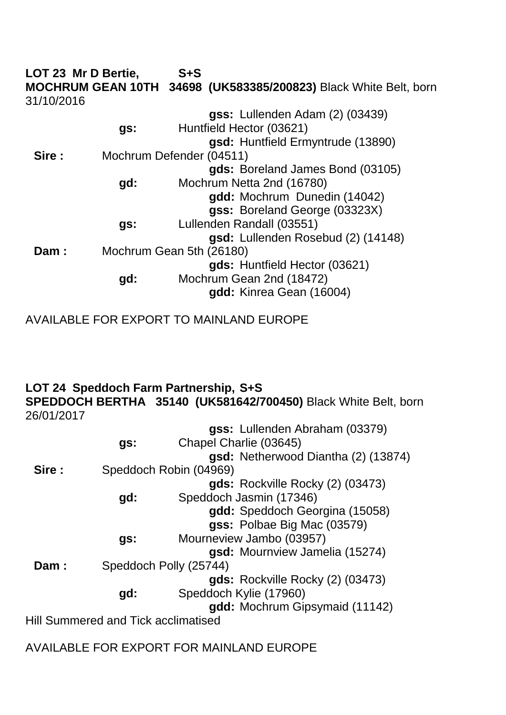**LOT 23 Mr D Bertie, S+S MOCHRUM GEAN 10TH 34698 (UK583385/200823)** Black White Belt, born 31/10/2016 **gss:** Lullenden Adam (2) (03439) **gs:** Huntfield Hector (03621) **gsd:** Huntfield Ermyntrude (13890) **Sire :** Mochrum Defender (04511) **gds:** Boreland James Bond (03105) **gd:** Mochrum Netta 2nd (16780) **gdd:** Mochrum Dunedin (14042) **gss:** Boreland George (03323X) **gs:** Lullenden Randall (03551) **gsd:** Lullenden Rosebud (2) (14148) **Dam :** Mochrum Gean 5th (26180) **gds:** Huntfield Hector (03621) **gd:** Mochrum Gean 2nd (18472) **gdd:** Kinrea Gean (16004)

AVAILABLE FOR EXPORT TO MAINLAND EUROPE

## **LOT 24 Speddoch Farm Partnership, S+S**

**SPEDDOCH BERTHA 35140 (UK581642/700450)** Black White Belt, born 26/01/2017

|        |                                     | gss: Lullenden Abraham (03379)      |
|--------|-------------------------------------|-------------------------------------|
|        | gs:                                 | Chapel Charlie (03645)              |
|        |                                     | gsd: Netherwood Diantha (2) (13874) |
| Sire : |                                     | Speddoch Robin (04969)              |
|        |                                     | gds: Rockville Rocky (2) (03473)    |
|        | gd:                                 | Speddoch Jasmin (17346)             |
|        |                                     | gdd: Speddoch Georgina (15058)      |
|        |                                     | gss: Polbae Big Mac (03579)         |
|        | gs:                                 | Mourneview Jambo (03957)            |
|        |                                     | gsd: Mournview Jamelia (15274)      |
| Dam:   |                                     | Speddoch Polly (25744)              |
|        |                                     | gds: Rockville Rocky (2) (03473)    |
|        | gd:                                 | Speddoch Kylie (17960)              |
|        |                                     | gdd: Mochrum Gipsymaid (11142)      |
|        | Hill Summered and Tick acclimatised |                                     |
|        |                                     |                                     |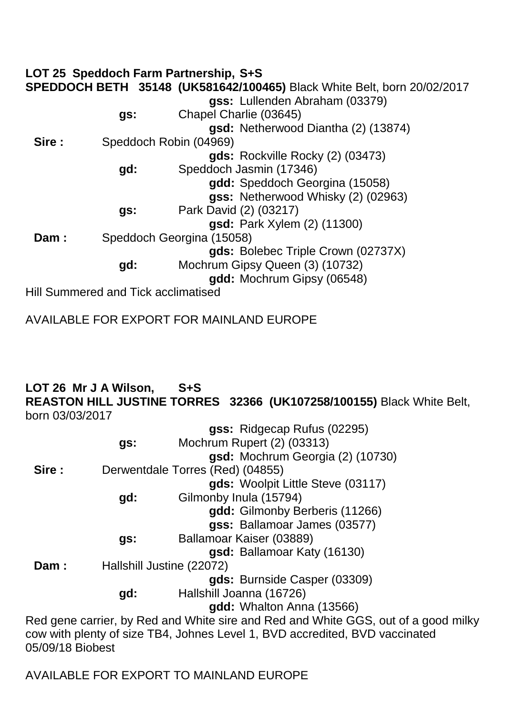|       |                                            | LOT 25 Speddoch Farm Partnership, S+S                                   |
|-------|--------------------------------------------|-------------------------------------------------------------------------|
|       |                                            | SPEDDOCH BETH 35148 (UK581642/100465) Black White Belt, born 20/02/2017 |
|       |                                            | gss: Lullenden Abraham (03379)                                          |
|       | gs:                                        | Chapel Charlie (03645)                                                  |
|       |                                            | gsd: Netherwood Diantha (2) (13874)                                     |
| Sire: |                                            | Speddoch Robin (04969)                                                  |
|       |                                            | gds: Rockville Rocky (2) (03473)                                        |
|       | gd:                                        | Speddoch Jasmin (17346)                                                 |
|       |                                            | gdd: Speddoch Georgina (15058)                                          |
|       |                                            | gss: Netherwood Whisky (2) (02963)                                      |
|       | gs:                                        | Park David (2) (03217)                                                  |
|       |                                            | <b>gsd:</b> Park Xylem (2) (11300)                                      |
| Dam:  |                                            | Speddoch Georgina (15058)                                               |
|       |                                            | gds: Bolebec Triple Crown (02737X)                                      |
|       | gd:                                        | Mochrum Gipsy Queen (3) (10732)                                         |
|       |                                            | gdd: Mochrum Gipsy (06548)                                              |
|       | <b>Hill Summered and Tick acclimatised</b> |                                                                         |

AVAILABLE FOR EXPORT FOR MAINLAND EUROPE

### **LOT 26 Mr J A Wilson, S+S REASTON HILL JUSTINE TORRES 32366 (UK107258/100155)** Black White Belt, born 03/03/2017

|     | gss: Ridgecap Rufus (02295)                                                        |
|-----|------------------------------------------------------------------------------------|
| gs: | Mochrum Rupert (2) (03313)                                                         |
|     | gsd: Mochrum Georgia (2) (10730)                                                   |
|     | Derwentdale Torres (Red) (04855)                                                   |
|     | gds: Woolpit Little Steve (03117)                                                  |
| gd: | Gilmonby Inula (15794)                                                             |
|     | gdd: Gilmonby Berberis (11266)                                                     |
|     | gss: Ballamoar James (03577)                                                       |
| gs: | Ballamoar Kaiser (03889)                                                           |
|     | gsd: Ballamoar Katy (16130)                                                        |
|     | Hallshill Justine (22072)                                                          |
|     | gds: Burnside Casper (03309)                                                       |
| gd: | Hallshill Joanna (16726)                                                           |
|     | gdd: Whalton Anna (13566)                                                          |
|     | Red gene carrier, by Red and White sire and Red and White GGS, out of a good milky |
|     | cow with plenty of size TB4, Johnes Level 1, BVD accredited, BVD vaccinated        |
|     |                                                                                    |

05/09/18 Biobest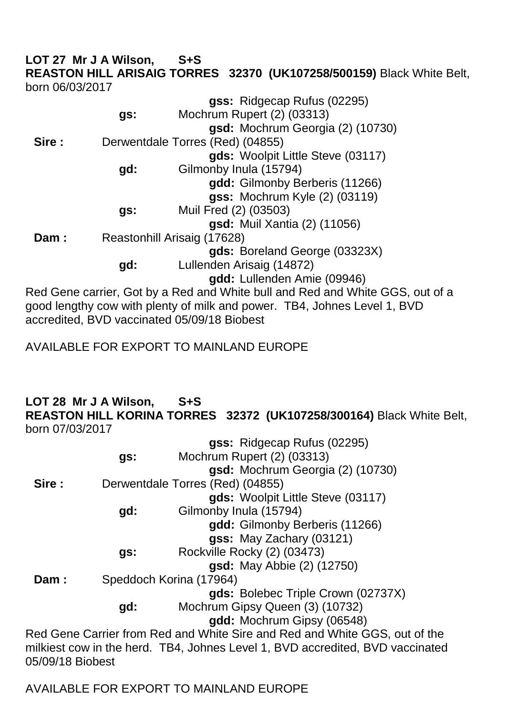**LOT 27 Mr J A Wilson, S+S REASTON HILL ARISAIG TORRES 32370 (UK107258/500159)** Black White Belt, born 06/03/2017 **gss:** Ridgecap Rufus (02295)

|       |     | <b>yss:</b> Ridgecap Ruius (UZZ93)                                                                                                     |
|-------|-----|----------------------------------------------------------------------------------------------------------------------------------------|
|       | gs: | Mochrum Rupert (2) (03313)                                                                                                             |
|       |     | gsd: Mochrum Georgia (2) (10730)                                                                                                       |
| Sire: |     | Derwentdale Torres (Red) (04855)                                                                                                       |
|       |     | gds: Woolpit Little Steve (03117)                                                                                                      |
|       | gd: | Gilmonby Inula (15794)                                                                                                                 |
|       |     | gdd: Gilmonby Berberis (11266)                                                                                                         |
|       |     | <b>gss: Mochrum Kyle (2) (03119)</b>                                                                                                   |
|       | gs: | Muil Fred (2) (03503)                                                                                                                  |
|       |     | <b>gsd:</b> Muil Xantia (2) (11056)                                                                                                    |
| Dam:  |     | Reastonhill Arisaig (17628)                                                                                                            |
|       |     | gds: Boreland George (03323X)                                                                                                          |
|       | gd: | Lullenden Arisaig (14872)                                                                                                              |
|       |     | gdd: Lullenden Amie (09946)                                                                                                            |
|       |     | Red Gene carrier, Got by a Red and White bull and Red and White GGS, out of a                                                          |
|       |     | and the contract of the state of collection and contract of the state of the state of the state of the state o<br>TRIU LI LI LI LI RIA |

good lengthy cow with plenty of milk and power. TB4, Johnes Level 1, BVD accredited, BVD vaccinated 05/09/18 Biobest

AVAILABLE FOR EXPORT TO MAINLAND EUROPE

#### **LOT 28 Mr J A Wilson, S+S REASTON HILL KORINA TORRES 32372 (UK107258/300164)** Black White Belt, born 07/03/2017

|       |     | gss: Ridgecap Rufus (02295)                                                   |
|-------|-----|-------------------------------------------------------------------------------|
|       | gs: | Mochrum Rupert (2) (03313)                                                    |
|       |     | gsd: Mochrum Georgia (2) (10730)                                              |
| Sire: |     | Derwentdale Torres (Red) (04855)                                              |
|       |     | gds: Woolpit Little Steve (03117)                                             |
|       | gd: | Gilmonby Inula (15794)                                                        |
|       |     | gdd: Gilmonby Berberis (11266)                                                |
|       |     | gss: May Zachary (03121)                                                      |
|       | gs: | Rockville Rocky (2) (03473)                                                   |
|       |     | <b>gsd:</b> May Abbie (2) (12750)                                             |
| Dam:  |     | Speddoch Korina (17964)                                                       |
|       |     | gds: Bolebec Triple Crown (02737X)                                            |
|       | gd: | Mochrum Gipsy Queen (3) (10732)                                               |
|       |     | gdd: Mochrum Gipsy (06548)                                                    |
|       |     | Red Gene Carrier from Red and White Sire and Red and White GGS, out of the    |
|       |     | milkiest cow in the herd. TB4, Johnes Level 1, BVD accredited, BVD vaccinated |

AVAILABLE FOR EXPORT TO MAINLAND EUROPE

05/09/18 Biobest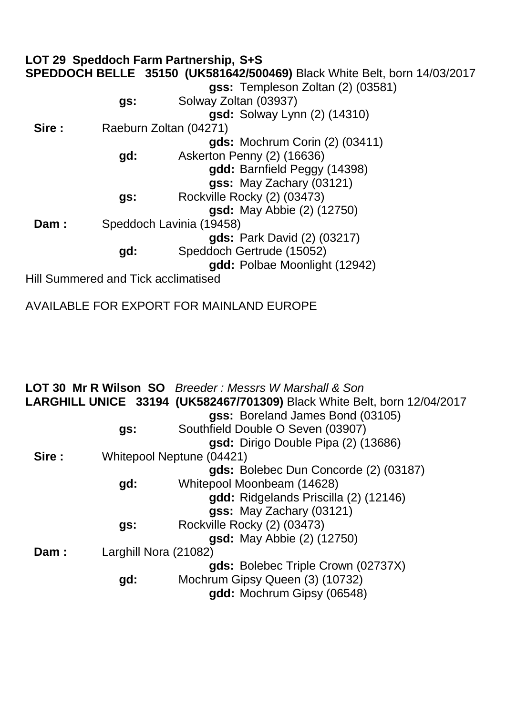|        |                                     | LOT 29 Speddoch Farm Partnership, S+S                                    |
|--------|-------------------------------------|--------------------------------------------------------------------------|
|        |                                     | SPEDDOCH BELLE 35150 (UK581642/500469) Black White Belt, born 14/03/2017 |
|        |                                     | gss: Templeson Zoltan (2) (03581)                                        |
|        | gs:                                 | Solway Zoltan (03937)                                                    |
|        |                                     | <b>gsd:</b> Solway Lynn (2) (14310)                                      |
| Sire : |                                     | Raeburn Zoltan (04271)                                                   |
|        |                                     | <b>gds:</b> Mochrum Corin (2) (03411)                                    |
|        | gd:                                 | Askerton Penny (2) (16636)                                               |
|        |                                     | gdd: Barnfield Peggy (14398)                                             |
|        |                                     | gss: May Zachary (03121)                                                 |
|        | gs:                                 | Rockville Rocky (2) (03473)                                              |
|        |                                     | gsd: May Abbie (2) (12750)                                               |
| Dam:   |                                     | Speddoch Lavinia (19458)                                                 |
|        |                                     | <b>gds:</b> Park David (2) (03217)                                       |
|        | gd:                                 | Speddoch Gertrude (15052)                                                |
|        |                                     | add: Polbae Moonlight (12942)                                            |
|        | Hill Summered and Tick acclimatised |                                                                          |

|                               | <b>LOT 30 Mr R Wilson SO</b> Breeder: Messrs W Marshall & Son                   |
|-------------------------------|---------------------------------------------------------------------------------|
|                               | <b>LARGHILL UNICE 33194 (UK582467/701309)</b> Black White Belt, born 12/04/2017 |
|                               | gss: Boreland James Bond (03105)                                                |
| gs:                           | Southfield Double O Seven (03907)                                               |
|                               | gsd: Dirigo Double Pipa (2) (13686)                                             |
| Sire:                         | Whitepool Neptune (04421)                                                       |
|                               | gds: Bolebec Dun Concorde (2) (03187)                                           |
| gd:                           | Whitepool Moonbeam (14628)                                                      |
|                               | gdd: Ridgelands Priscilla (2) (12146)                                           |
|                               | gss: May Zachary (03121)                                                        |
| gs:                           | Rockville Rocky (2) (03473)                                                     |
|                               | <b>gsd:</b> May Abbie (2) (12750)                                               |
| Larghill Nora (21082)<br>Dam: |                                                                                 |
|                               | gds: Bolebec Triple Crown (02737X)                                              |
| gd:                           | Mochrum Gipsy Queen (3) (10732)                                                 |
|                               | gdd: Mochrum Gipsy (06548)                                                      |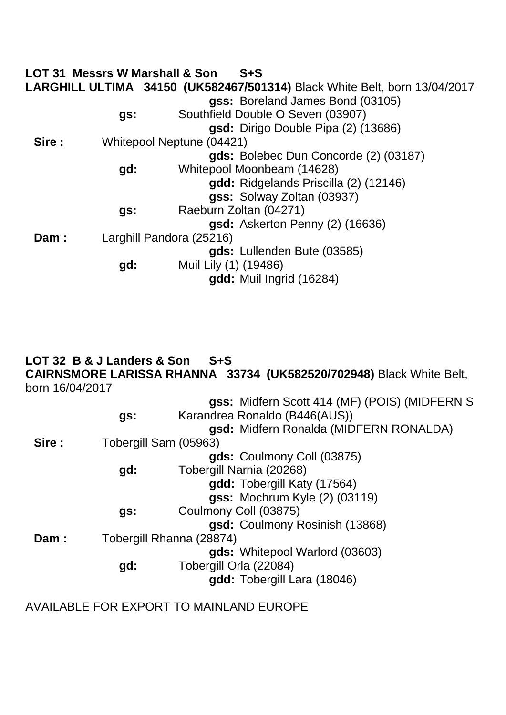|        | <b>LOT 31 Messrs W Marshall &amp; Son</b> | $S + S$                                                                          |
|--------|-------------------------------------------|----------------------------------------------------------------------------------|
|        |                                           | <b>LARGHILL ULTIMA 34150 (UK582467/501314)</b> Black White Belt, born 13/04/2017 |
|        |                                           | gss: Boreland James Bond (03105)                                                 |
|        | gs:                                       | Southfield Double O Seven (03907)                                                |
|        |                                           | gsd: Dirigo Double Pipa (2) (13686)                                              |
| Sire : |                                           | Whitepool Neptune (04421)                                                        |
|        |                                           | gds: Bolebec Dun Concorde (2) (03187)                                            |
|        | gd:                                       | Whitepool Moonbeam (14628)                                                       |
|        |                                           | gdd: Ridgelands Priscilla (2) (12146)                                            |
|        |                                           | gss: Solway Zoltan (03937)                                                       |
|        | gs:                                       | Raeburn Zoltan (04271)                                                           |
|        |                                           | gsd: Askerton Penny (2) (16636)                                                  |
| Dam:   |                                           | Larghill Pandora (25216)                                                         |
|        |                                           | gds: Lullenden Bute (03585)                                                      |
|        | gd:                                       | Muil Lily (1) (19486)                                                            |
|        |                                           | gdd: Muil Ingrid (16284)                                                         |

### **LOT 32 B & J Landers & Son S+S CAIRNSMORE LARISSA RHANNA 33734 (UK582520/702948)** Black White Belt, born 16/04/2017

|        |                       | gss: Midfern Scott 414 (MF) (POIS) (MIDFERN S |
|--------|-----------------------|-----------------------------------------------|
|        | gs:                   | Karandrea Ronaldo (B446(AUS))                 |
|        |                       | gsd: Midfern Ronalda (MIDFERN RONALDA)        |
| Sire : | Tobergill Sam (05963) |                                               |
|        |                       | gds: Coulmony Coll (03875)                    |
|        | gd:                   | Tobergill Narnia (20268)                      |
|        |                       | gdd: Tobergill Katy (17564)                   |
|        |                       | gss: Mochrum Kyle (2) (03119)                 |
|        | gs:                   | Coulmony Coll (03875)                         |
|        |                       | gsd: Coulmony Rosinish (13868)                |
| Dam:   |                       | Tobergill Rhanna (28874)                      |
|        |                       | gds: Whitepool Warlord (03603)                |
|        | gd:                   | Tobergill Orla (22084)                        |
|        |                       | gdd: Tobergill Lara (18046)                   |
|        |                       |                                               |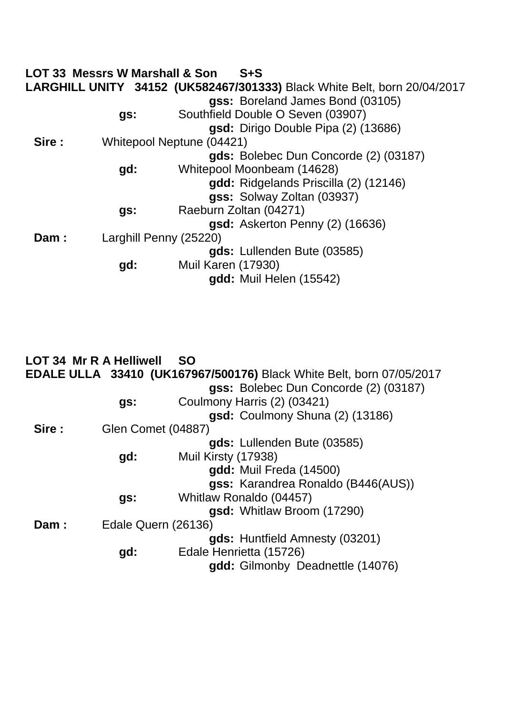|       | <b>LOT 33 Messrs W Marshall &amp; Son</b> | $S + S$                                                                         |
|-------|-------------------------------------------|---------------------------------------------------------------------------------|
|       |                                           | <b>LARGHILL UNITY 34152 (UK582467/301333)</b> Black White Belt, born 20/04/2017 |
|       |                                           | gss: Boreland James Bond (03105)                                                |
|       | gs:                                       | Southfield Double O Seven (03907)                                               |
|       |                                           | gsd: Dirigo Double Pipa (2) (13686)                                             |
| Sire: |                                           | Whitepool Neptune (04421)                                                       |
|       |                                           | gds: Bolebec Dun Concorde (2) (03187)                                           |
|       | gd:                                       | Whitepool Moonbeam (14628)                                                      |
|       |                                           | gdd: Ridgelands Priscilla (2) (12146)                                           |
|       |                                           | gss: Solway Zoltan (03937)                                                      |
|       | gs:                                       | Raeburn Zoltan (04271)                                                          |
|       |                                           | gsd: Askerton Penny (2) (16636)                                                 |
| Dam:  |                                           | Larghill Penny (25220)                                                          |
|       |                                           | gds: Lullenden Bute (03585)                                                     |
|       | gd:                                       | <b>Muil Karen (17930)</b>                                                       |
|       |                                           | gdd: Muil Helen (15542)                                                         |

|        | <b>LOT 34 Mr R A Helliwell</b> | - SO                                                                        |
|--------|--------------------------------|-----------------------------------------------------------------------------|
|        |                                | <b>EDALE ULLA 33410 (UK167967/500176)</b> Black White Belt, born 07/05/2017 |
|        |                                | gss: Bolebec Dun Concorde (2) (03187)                                       |
|        | gs:                            | Coulmony Harris (2) (03421)                                                 |
|        |                                | gsd: Coulmony Shuna (2) (13186)                                             |
| Sire : | <b>Glen Comet (04887)</b>      |                                                                             |
|        |                                | gds: Lullenden Bute (03585)                                                 |
|        | gd:                            | Muil Kirsty (17938)                                                         |
|        |                                | gdd: Muil Freda (14500)                                                     |
|        |                                | gss: Karandrea Ronaldo (B446(AUS))                                          |
|        | gs:                            | Whitlaw Ronaldo (04457)                                                     |
|        |                                | gsd: Whitlaw Broom (17290)                                                  |
| Dam:   | Edale Quern (26136)            |                                                                             |
|        |                                | gds: Huntfield Amnesty (03201)                                              |
|        | gd:                            | Edale Henrietta (15726)                                                     |
|        |                                | gdd: Gilmonby Deadnettle (14076)                                            |
|        |                                |                                                                             |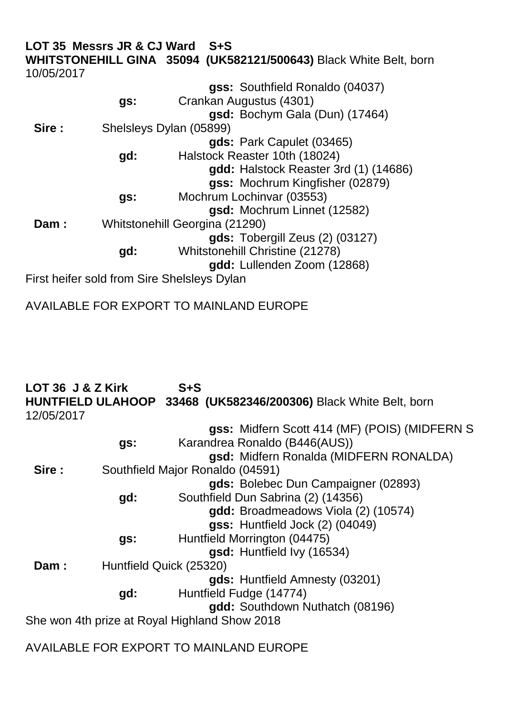|            | LOT 35 Messrs JR & CJ Ward | S+S                                                               |
|------------|----------------------------|-------------------------------------------------------------------|
|            |                            | WHITSTONEHILL GINA 35094 (UK582121/500643) Black White Belt, born |
| 10/05/2017 |                            |                                                                   |
|            |                            | gss: Southfield Ronaldo (04037)                                   |
|            | gs:                        | Crankan Augustus (4301)                                           |
|            |                            | gsd: Bochym Gala (Dun) (17464)                                    |
| Sire:      |                            | Shelsleys Dylan (05899)                                           |
|            |                            | gds: Park Capulet (03465)                                         |
|            | gd:                        | Halstock Reaster 10th (18024)                                     |
|            |                            | gdd: Halstock Reaster 3rd (1) (14686)                             |
|            |                            | gss: Mochrum Kingfisher (02879)                                   |
|            | gs:                        | Mochrum Lochinvar (03553)                                         |
|            |                            | gsd: Mochrum Linnet (12582)                                       |
| Dam:       |                            | Whitstonehill Georgina (21290)                                    |
|            |                            | gds: Tobergill Zeus (2) (03127)                                   |
|            | gd:                        | Whitstonehill Christine (21278)                                   |
|            |                            | gdd: Lullenden Zoom (12868)                                       |
|            |                            | First heifer sold from Sire Shelsleys Dylan                       |

AVAILABLE FOR EXPORT TO MAINLAND EUROPE

| LOT 36 J & Z Kirk |     | $S + S$                                                          |
|-------------------|-----|------------------------------------------------------------------|
|                   |     | HUNTFIELD ULAHOOP 33468 (UK582346/200306) Black White Belt, born |
| 12/05/2017        |     |                                                                  |
|                   |     | gss: Midfern Scott 414 (MF) (POIS) (MIDFERN S                    |
|                   | gs: | Karandrea Ronaldo (B446(AUS))                                    |
|                   |     | gsd: Midfern Ronalda (MIDFERN RONALDA)                           |
| Sire :            |     | Southfield Major Ronaldo (04591)                                 |
|                   |     | gds: Bolebec Dun Campaigner (02893)                              |
|                   | gd: | Southfield Dun Sabrina (2) (14356)                               |
|                   |     | gdd: Broadmeadows Viola (2) (10574)                              |
|                   |     | gss: Huntfield Jock (2) (04049)                                  |
|                   | gs: | Huntfield Morrington (04475)                                     |
|                   |     | gsd: Huntfield Ivy (16534)                                       |
| Dam:              |     | Huntfield Quick (25320)                                          |
|                   |     | gds: Huntfield Amnesty (03201)                                   |
|                   | gd: | Huntfield Fudge (14774)                                          |
|                   |     | gdd: Southdown Nuthatch (08196)                                  |
|                   |     | She won 4th prize at Royal Highland Show 2018                    |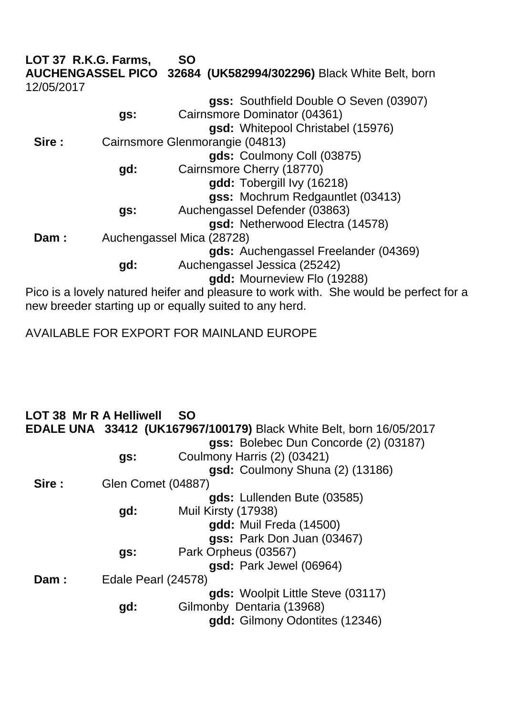|            | LOT 37 R.K.G. Farms, | <b>SO</b>                                                                             |
|------------|----------------------|---------------------------------------------------------------------------------------|
|            |                      | AUCHENGASSEL PICO 32684 (UK582994/302296) Black White Belt, born                      |
| 12/05/2017 |                      |                                                                                       |
|            |                      | gss: Southfield Double O Seven (03907)                                                |
|            | gs:                  | Cairnsmore Dominator (04361)                                                          |
|            |                      | gsd: Whitepool Christabel (15976)                                                     |
| Sire:      |                      | Cairnsmore Glenmorangie (04813)                                                       |
|            |                      | gds: Coulmony Coll (03875)                                                            |
|            | gd:                  | Cairnsmore Cherry (18770)                                                             |
|            |                      | gdd: Tobergill Ivy (16218)                                                            |
|            |                      | gss: Mochrum Redgauntlet (03413)                                                      |
|            | gs:                  | Auchengassel Defender (03863)                                                         |
|            |                      | gsd: Netherwood Electra (14578)                                                       |
| Dam:       |                      | Auchengassel Mica (28728)                                                             |
|            |                      | gds: Auchengassel Freelander (04369)                                                  |
|            | gd:                  | Auchengassel Jessica (25242)                                                          |
|            |                      | gdd: Mourneview Flo (19288)                                                           |
|            |                      | Pico is a lovely natured heifer and pleasure to work with. She would be perfect for a |

new breeder starting up or equally suited to any herd.

|       | <b>LOT 38 Mr R A Helliwell</b> | <b>SO</b>                                                                  |
|-------|--------------------------------|----------------------------------------------------------------------------|
|       |                                | <b>EDALE UNA 33412 (UK167967/100179)</b> Black White Belt, born 16/05/2017 |
|       |                                | gss: Bolebec Dun Concorde (2) (03187)                                      |
|       | gs:                            | Coulmony Harris (2) (03421)                                                |
|       |                                | gsd: Coulmony Shuna (2) (13186)                                            |
| Sire: | Glen Comet (04887)             |                                                                            |
|       |                                | gds: Lullenden Bute (03585)                                                |
|       | gd:                            | Muil Kirsty (17938)                                                        |
|       |                                | gdd: Muil Freda (14500)                                                    |
|       |                                | gss: Park Don Juan (03467)                                                 |
|       | gs:                            | Park Orpheus (03567)                                                       |
|       |                                | gsd: Park Jewel (06964)                                                    |
| Dam:  | Edale Pearl (24578)            |                                                                            |
|       |                                | gds: Woolpit Little Steve (03117)                                          |
|       | gd:                            | Gilmonby Dentaria (13968)                                                  |
|       |                                | gdd: Gilmony Odontites (12346)                                             |
|       |                                |                                                                            |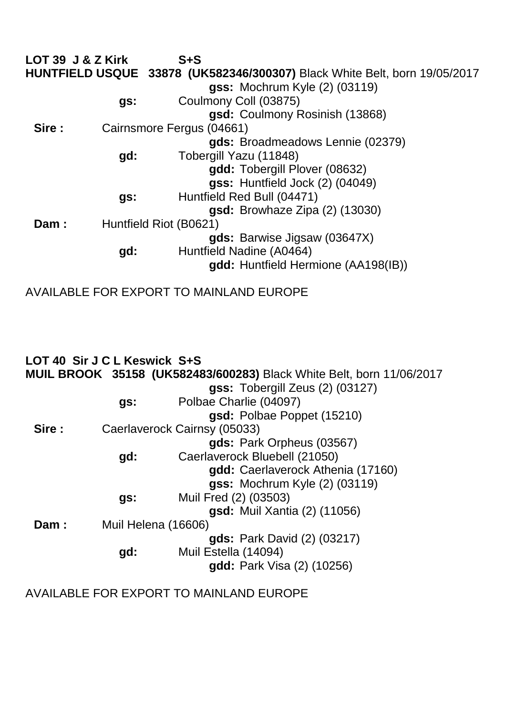| LOT 39 J & Z Kirk |                        | $S + S$                                                                   |
|-------------------|------------------------|---------------------------------------------------------------------------|
|                   |                        | HUNTFIELD USQUE 33878 (UK582346/300307) Black White Belt, born 19/05/2017 |
|                   |                        | <b>gss: Mochrum Kyle (2) (03119)</b>                                      |
|                   | gs:                    | Coulmony Coll (03875)                                                     |
|                   |                        | gsd: Coulmony Rosinish (13868)                                            |
| Sire :            |                        | Cairnsmore Fergus (04661)                                                 |
|                   |                        | gds: Broadmeadows Lennie (02379)                                          |
|                   | gd:                    | Tobergill Yazu (11848)                                                    |
|                   |                        | gdd: Tobergill Plover (08632)                                             |
|                   |                        | gss: Huntfield Jock (2) (04049)                                           |
|                   | gs:                    | Huntfield Red Bull (04471)                                                |
|                   |                        | gsd: Browhaze Zipa (2) (13030)                                            |
| Dam:              | Huntfield Riot (B0621) |                                                                           |
|                   |                        | gds: Barwise Jigsaw (03647X)                                              |
|                   | gd:                    | Huntfield Nadine (A0464)                                                  |
|                   |                        | gdd: Huntfield Hermione (AA198(IB))                                       |
|                   |                        |                                                                           |

AVAILABLE FOR EXPORT TO MAINLAND EUROPE

|        | LOT 40 Sir J C L Keswick S+S |                                                                             |
|--------|------------------------------|-----------------------------------------------------------------------------|
|        |                              | <b>MUIL BROOK 35158 (UK582483/600283)</b> Black White Belt, born 11/06/2017 |
|        |                              | gss: Tobergill Zeus (2) (03127)                                             |
|        | gs:                          | Polbae Charlie (04097)                                                      |
|        |                              | gsd: Polbae Poppet (15210)                                                  |
| Sire : |                              | Caerlaverock Cairnsy (05033)                                                |
|        |                              | gds: Park Orpheus (03567)                                                   |
|        | gd:                          | Caerlaverock Bluebell (21050)                                               |
|        |                              | gdd: Caerlaverock Athenia (17160)                                           |
|        |                              | gss: Mochrum Kyle (2) (03119)                                               |
|        | gs:                          | Muil Fred (2) (03503)                                                       |
|        |                              | gsd: Muil Xantia (2) (11056)                                                |
| Dam:   | Muil Helena (16606)          |                                                                             |
|        |                              | <b>gds:</b> Park David (2) (03217)                                          |
|        | gd:                          | Muil Estella (14094)                                                        |
|        |                              | <b>gdd:</b> Park Visa (2) (10256)                                           |
|        |                              |                                                                             |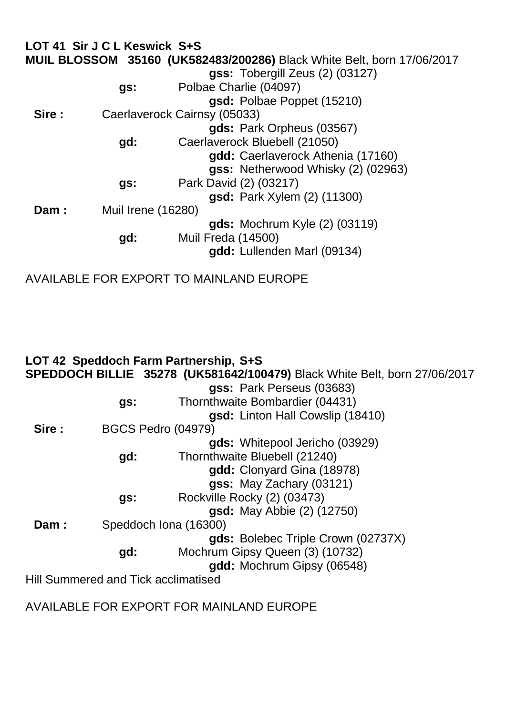|       | LOT 41 Sir J C L Keswick S+S |                                                                               |  |
|-------|------------------------------|-------------------------------------------------------------------------------|--|
|       |                              | <b>MUIL BLOSSOM 35160 (UK582483/200286)</b> Black White Belt, born 17/06/2017 |  |
|       |                              | gss: Tobergill Zeus (2) (03127)                                               |  |
|       | gs:                          | Polbae Charlie (04097)                                                        |  |
|       |                              | gsd: Polbae Poppet (15210)                                                    |  |
| Sire: |                              | Caerlaverock Cairnsy (05033)                                                  |  |
|       |                              | gds: Park Orpheus (03567)                                                     |  |
|       | gd:                          | Caerlaverock Bluebell (21050)                                                 |  |
|       |                              | gdd: Caerlaverock Athenia (17160)                                             |  |
|       |                              | gss: Netherwood Whisky (2) (02963)                                            |  |
|       | gs:                          | Park David (2) (03217)                                                        |  |
|       |                              | <b>gsd:</b> Park Xylem (2) (11300)                                            |  |
| Dam:  |                              | Muil Irene (16280)                                                            |  |
|       |                              | <b>gds:</b> Mochrum Kyle (2) (03119)                                          |  |
|       | gd:                          | <b>Muil Freda (14500)</b>                                                     |  |
|       |                              | gdd: Lullenden Marl (09134)                                                   |  |
|       |                              |                                                                               |  |

AVAILABLE FOR EXPORT TO MAINLAND EUROPE

|        |                                     | LOT 42 Speddoch Farm Partnership, S+S                                     |
|--------|-------------------------------------|---------------------------------------------------------------------------|
|        |                                     | SPEDDOCH BILLIE 35278 (UK581642/100479) Black White Belt, born 27/06/2017 |
|        |                                     | gss: Park Perseus (03683)                                                 |
|        | gs:                                 | Thornthwaite Bombardier (04431)                                           |
|        |                                     | gsd: Linton Hall Cowslip (18410)                                          |
| Sire : | <b>BGCS Pedro (04979)</b>           |                                                                           |
|        |                                     | gds: Whitepool Jericho (03929)                                            |
|        | gd:                                 | Thornthwaite Bluebell (21240)                                             |
|        |                                     | gdd: Clonyard Gina (18978)                                                |
|        |                                     | gss: May Zachary (03121)                                                  |
|        | gs:                                 | Rockville Rocky (2) (03473)                                               |
|        |                                     | <b>gsd:</b> May Abbie (2) (12750)                                         |
| Dam:   | Speddoch Iona (16300)               |                                                                           |
|        |                                     | gds: Bolebec Triple Crown (02737X)                                        |
|        | gd:                                 | Mochrum Gipsy Queen (3) (10732)                                           |
|        |                                     | gdd: Mochrum Gipsy (06548)                                                |
|        | Hill Summered and Tick acclimatised |                                                                           |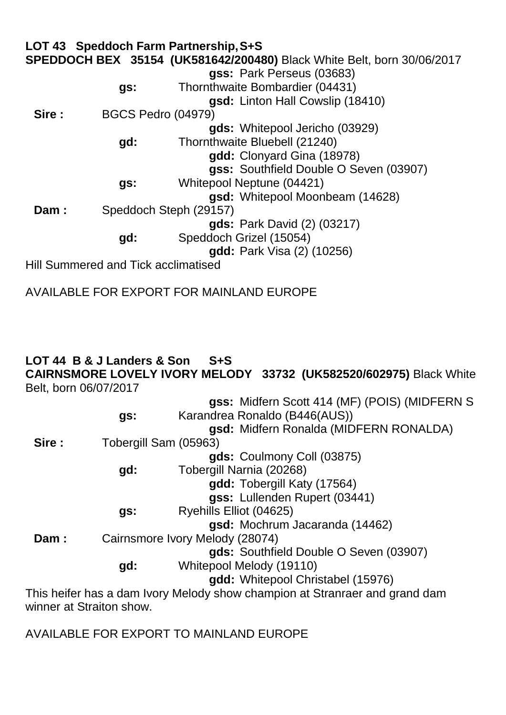**LOT 43 Speddoch Farm Partnership,S+S SPEDDOCH BEX 35154 (UK581642/200480)** Black White Belt, born 30/06/2017 **gss:** Park Perseus (03683) **gs:** Thornthwaite Bombardier (04431) **gsd:** Linton Hall Cowslip (18410) **Sire :** BGCS Pedro (04979) **gds:** Whitepool Jericho (03929) **gd:** Thornthwaite Bluebell (21240) **gdd:** Clonyard Gina (18978) **gss:** Southfield Double O Seven (03907) **gs:** Whitepool Neptune (04421) **gsd:** Whitepool Moonbeam (14628) **Dam :** Speddoch Steph (29157) **gds:** Park David (2) (03217) **gd:** Speddoch Grizel (15054) **gdd:** Park Visa (2) (10256) Hill Summered and Tick acclimatised

AVAILABLE FOR EXPORT FOR MAINLAND EUROPE

## **LOT 44 B & J Landers & Son S+S**

**CAIRNSMORE LOVELY IVORY MELODY 33732 (UK582520/602975)** Black White Belt, born 06/07/2017

|        |     | gss: Midfern Scott 414 (MF) (POIS) (MIDFERN S                               |
|--------|-----|-----------------------------------------------------------------------------|
|        | gs: | Karandrea Ronaldo (B446(AUS))                                               |
|        |     | gsd: Midfern Ronalda (MIDFERN RONALDA)                                      |
| Sire : |     | Tobergill Sam (05963)                                                       |
|        |     | gds: Coulmony Coll (03875)                                                  |
|        | gd: | Tobergill Narnia (20268)                                                    |
|        |     | gdd: Tobergill Katy (17564)                                                 |
|        |     | gss: Lullenden Rupert (03441)                                               |
|        | gs: | Ryehills Elliot (04625)                                                     |
|        |     | gsd: Mochrum Jacaranda (14462)                                              |
| Dam:   |     | Cairnsmore Ivory Melody (28074)                                             |
|        |     | gds: Southfield Double O Seven (03907)                                      |
|        | gd: | Whitepool Melody (19110)                                                    |
|        |     | gdd: Whitepool Christabel (15976)                                           |
|        |     | This heifer has a dam Ivory Melody show champion at Stranraer and grand dam |

AVAILABLE FOR EXPORT TO MAINLAND EUROPE

winner at Straiton show.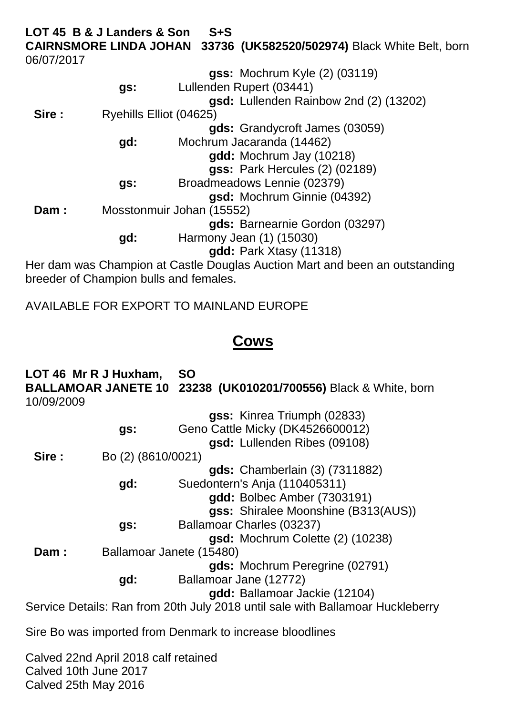**LOT 45 B & J Landers & Son S+S CAIRNSMORE LINDA JOHAN 33736 (UK582520/502974)** Black White Belt, born 06/07/2017

|        |                         | <b>gss: Mochrum Kyle (2) (03119)</b>                                        |
|--------|-------------------------|-----------------------------------------------------------------------------|
|        | gs:                     | Lullenden Rupert (03441)                                                    |
|        |                         | gsd: Lullenden Rainbow 2nd (2) (13202)                                      |
| Sire : | Ryehills Elliot (04625) |                                                                             |
|        |                         | gds: Grandycroft James (03059)                                              |
|        | gd:                     | Mochrum Jacaranda (14462)                                                   |
|        |                         | gdd: Mochrum Jay (10218)                                                    |
|        |                         | gss: Park Hercules (2) (02189)                                              |
|        | gs:                     | Broadmeadows Lennie (02379)                                                 |
|        |                         | gsd: Mochrum Ginnie (04392)                                                 |
| Dam:   |                         | Mosstonmuir Johan (15552)                                                   |
|        |                         | gds: Barnearnie Gordon (03297)                                              |
|        | gd:                     | Harmony Jean (1) (15030)                                                    |
|        |                         | gdd: Park Xtasy (11318)                                                     |
|        |                         | Her dam was Champion at Castle Douglas Auction Mart and been an outstanding |

Her dam was Champion at Castle Douglas Auction Mart and been an outstanding breeder of Champion bulls and females.

AVAILABLE FOR EXPORT TO MAINLAND EUROPE

## **Cows**

**LOT 46 Mr R J Huxham, SO BALLAMOAR JANETE 10 23238 (UK010201/700556)** Black & White, born 10/09/2009

|        |                    | gss: Kinrea Triumph (02833)                                                    |
|--------|--------------------|--------------------------------------------------------------------------------|
|        | gs:                | Geno Cattle Micky (DK4526600012)                                               |
|        |                    | gsd: Lullenden Ribes (09108)                                                   |
| Sire : | Bo (2) (8610/0021) |                                                                                |
|        |                    | <b>gds:</b> Chamberlain (3) (7311882)                                          |
|        | gd:                | Suedontern's Anja (110405311)                                                  |
|        |                    | gdd: Bolbec Amber (7303191)                                                    |
|        |                    | gss: Shiralee Moonshine (B313(AUS))                                            |
|        | gs:                | Ballamoar Charles (03237)                                                      |
|        |                    | gsd: Mochrum Colette (2) (10238)                                               |
| Dam:   |                    | Ballamoar Janete (15480)                                                       |
|        |                    | gds: Mochrum Peregrine (02791)                                                 |
|        | gd:                | Ballamoar Jane (12772)                                                         |
|        |                    | gdd: Ballamoar Jackie (12104)                                                  |
|        |                    | Service Details: Ran from 20th July 2018 until sale with Ballamoar Huckleberry |
|        |                    |                                                                                |

Sire Bo was imported from Denmark to increase bloodlines

Calved 22nd April 2018 calf retained Calved 10th June 2017 Calved 25th May 2016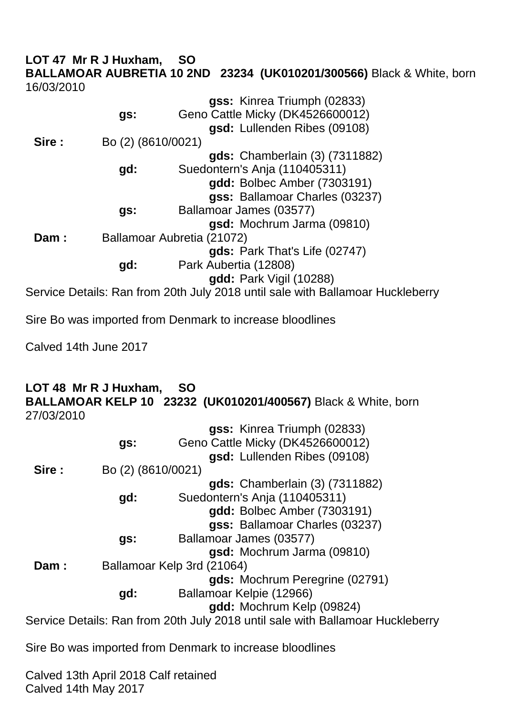#### **LOT 47 Mr R J Huxham, SO BALLAMOAR AUBRETIA 10 2ND 23234 (UK010201/300566)** Black & White, born 16/03/2010

|       |                    | gss: Kinrea Triumph (02833)                                                    |
|-------|--------------------|--------------------------------------------------------------------------------|
|       | gs:                | Geno Cattle Micky (DK4526600012)                                               |
|       |                    | gsd: Lullenden Ribes (09108)                                                   |
| Sire: | Bo (2) (8610/0021) |                                                                                |
|       |                    | <b>gds:</b> Chamberlain (3) (7311882)                                          |
|       | gd:                | Suedontern's Anja (110405311)                                                  |
|       |                    | gdd: Bolbec Amber (7303191)                                                    |
|       |                    | gss: Ballamoar Charles (03237)                                                 |
|       | gs:                | Ballamoar James (03577)                                                        |
|       |                    | gsd: Mochrum Jarma (09810)                                                     |
| Dam:  |                    | Ballamoar Aubretia (21072)                                                     |
|       |                    | gds: Park That's Life (02747)                                                  |
|       | gd:                | Park Aubertia (12808)                                                          |
|       |                    | <b>gdd:</b> Park Vigil (10288)                                                 |
|       |                    | Service Details: Ran from 20th July 2018 until sale with Ballamoar Huckleberry |

Sire Bo was imported from Denmark to increase bloodlines

Calved 14th June 2017

#### **LOT 48 Mr R J Huxham, SO BALLAMOAR KELP 10 23232 (UK010201/400567)** Black & White, born 27/03/2010

|        |                    | gss: Kinrea Triumph (02833)                                                    |
|--------|--------------------|--------------------------------------------------------------------------------|
|        | gs:                | Geno Cattle Micky (DK4526600012)                                               |
|        |                    | gsd: Lullenden Ribes (09108)                                                   |
| Sire : | Bo (2) (8610/0021) |                                                                                |
|        |                    | <b>gds:</b> Chamberlain (3) (7311882)                                          |
|        | gd:                | Suedontern's Anja (110405311)                                                  |
|        |                    | gdd: Bolbec Amber (7303191)                                                    |
|        |                    | gss: Ballamoar Charles (03237)                                                 |
|        | gs:                | Ballamoar James (03577)                                                        |
|        |                    | gsd: Mochrum Jarma (09810)                                                     |
| Dam:   |                    | Ballamoar Kelp 3rd (21064)                                                     |
|        |                    | gds: Mochrum Peregrine (02791)                                                 |
|        | gd:                | Ballamoar Kelpie (12966)                                                       |
|        |                    | gdd: Mochrum Kelp (09824)                                                      |
|        |                    | Service Details: Ran from 20th July 2018 until sale with Ballamoar Huckleberry |
|        |                    |                                                                                |

Sire Bo was imported from Denmark to increase bloodlines

Calved 13th April 2018 Calf retained Calved 14th May 2017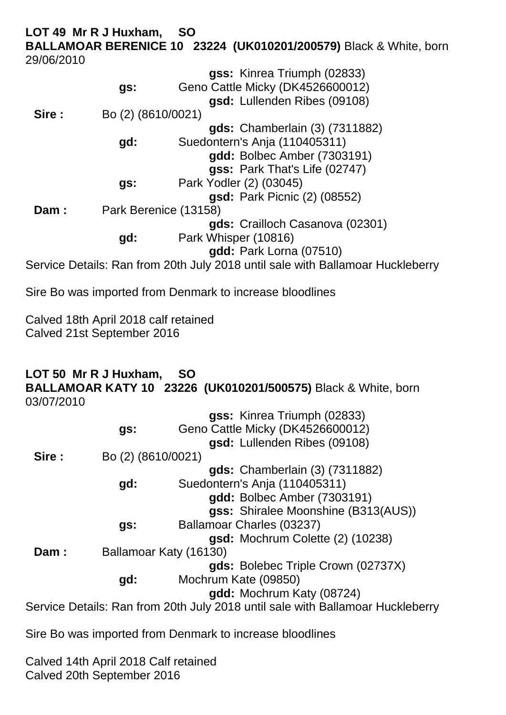### **LOT 49 Mr R J Huxham, SO BALLAMOAR BERENICE 10 23224 (UK010201/200579)** Black & White, born 29/06/2010

|       | gs:                   | gss: Kinrea Triumph (02833)<br>Geno Cattle Micky (DK4526600012)<br>gsd: Lullenden Ribes (09108) |
|-------|-----------------------|-------------------------------------------------------------------------------------------------|
| Sire: | Bo (2) (8610/0021)    |                                                                                                 |
|       |                       | <b>gds:</b> Chamberlain (3) (7311882)                                                           |
|       | gd:                   | Suedontern's Anja (110405311)                                                                   |
|       |                       | gdd: Bolbec Amber (7303191)                                                                     |
|       |                       | gss: Park That's Life (02747)                                                                   |
|       | gs:                   | Park Yodler (2) (03045)                                                                         |
|       |                       | <b>gsd:</b> Park Picnic (2) (08552)                                                             |
| Dam:  | Park Berenice (13158) |                                                                                                 |
|       |                       | gds: Crailloch Casanova (02301)                                                                 |
|       | gd:                   | Park Whisper (10816)                                                                            |
|       |                       | gdd: Park Lorna (07510)                                                                         |
|       |                       | Service Details: Ran from 20th July 2018 until sale with Ballamoar Huckleberry                  |

Sire Bo was imported from Denmark to increase bloodlines

Calved 18th April 2018 calf retained Calved 21st September 2016

#### **LOT 50 Mr R J Huxham, SO BALLAMOAR KATY 10 23226 (UK010201/500575)** Black & White, born 03/07/2010

|       |                    | gss: Kinrea Triumph (02833)                                                    |
|-------|--------------------|--------------------------------------------------------------------------------|
|       | gs:                | Geno Cattle Micky (DK4526600012)                                               |
|       |                    | gsd: Lullenden Ribes (09108)                                                   |
| Sire: | Bo (2) (8610/0021) |                                                                                |
|       |                    | <b>gds:</b> Chamberlain (3) (7311882)                                          |
|       | gd:                | Suedontern's Anja (110405311)                                                  |
|       |                    | gdd: Bolbec Amber (7303191)                                                    |
|       |                    | gss: Shiralee Moonshine (B313(AUS))                                            |
|       | gs:                | Ballamoar Charles (03237)                                                      |
|       |                    | gsd: Mochrum Colette (2) (10238)                                               |
| Dam:  |                    | Ballamoar Katy (16130)                                                         |
|       |                    | gds: Bolebec Triple Crown (02737X)                                             |
|       | gd:                | Mochrum Kate (09850)                                                           |
|       |                    | gdd: Mochrum Katy (08724)                                                      |
|       |                    | Service Details: Ran from 20th July 2018 until sale with Ballamoar Huckleberry |
|       |                    |                                                                                |

Sire Bo was imported from Denmark to increase bloodlines

Calved 14th April 2018 Calf retained Calved 20th September 2016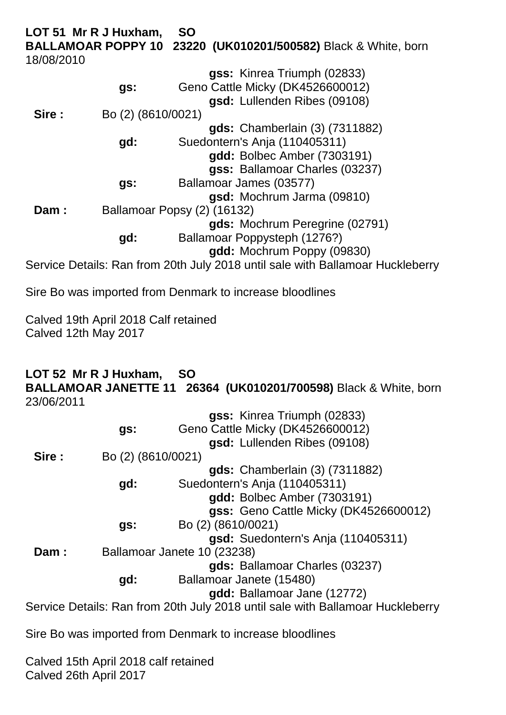**LOT 51 Mr R J Huxham, SO BALLAMOAR POPPY 10 23220 (UK010201/500582)** Black & White, born 18/08/2010

|       |                    | gss: Kinrea Triumph (02833)                                                    |
|-------|--------------------|--------------------------------------------------------------------------------|
|       | gs:                | Geno Cattle Micky (DK4526600012)                                               |
|       |                    | gsd: Lullenden Ribes (09108)                                                   |
| Sire: | Bo (2) (8610/0021) |                                                                                |
|       |                    | <b>gds:</b> Chamberlain (3) (7311882)                                          |
|       | gd:                | Suedontern's Anja (110405311)                                                  |
|       |                    | <b>gdd:</b> Bolbec Amber (7303191)                                             |
|       |                    | gss: Ballamoar Charles (03237)                                                 |
|       | gs:                | Ballamoar James (03577)                                                        |
|       |                    | gsd: Mochrum Jarma (09810)                                                     |
| Dam:  |                    | Ballamoar Popsy (2) (16132)                                                    |
|       |                    | gds: Mochrum Peregrine (02791)                                                 |
|       | gd:                | Ballamoar Poppysteph (1276?)                                                   |
|       |                    | gdd: Mochrum Poppy (09830)                                                     |
|       |                    | Service Details: Ran from 20th July 2018 until sale with Ballamoar Huckleberry |

Sire Bo was imported from Denmark to increase bloodlines

Calved 19th April 2018 Calf retained Calved 12th May 2017

#### **LOT 52 Mr R J Huxham, SO BALLAMOAR JANETTE 11 26364 (UK010201/700598)** Black & White, born 23/06/2011

|       |                    | gss: Kinrea Triumph (02833)                                                    |
|-------|--------------------|--------------------------------------------------------------------------------|
|       | gs:                | Geno Cattle Micky (DK4526600012)                                               |
|       |                    | gsd: Lullenden Ribes (09108)                                                   |
| Sire: | Bo (2) (8610/0021) |                                                                                |
|       |                    | gds: Chamberlain (3) (7311882)                                                 |
|       | gd:                | Suedontern's Anja (110405311)                                                  |
|       |                    | gdd: Bolbec Amber (7303191)                                                    |
|       |                    | gss: Geno Cattle Micky (DK4526600012)                                          |
|       | gs:                | Bo (2) (8610/0021)                                                             |
|       |                    | gsd: Suedontern's Anja (110405311)                                             |
| Dam:  |                    | Ballamoar Janete 10 (23238)                                                    |
|       |                    | gds: Ballamoar Charles (03237)                                                 |
|       | gd:                | Ballamoar Janete (15480)                                                       |
|       |                    | gdd: Ballamoar Jane (12772)                                                    |
|       |                    | Service Details: Ran from 20th July 2018 until sale with Ballamoar Huckleberry |

Sire Bo was imported from Denmark to increase bloodlines

Calved 15th April 2018 calf retained Calved 26th April 2017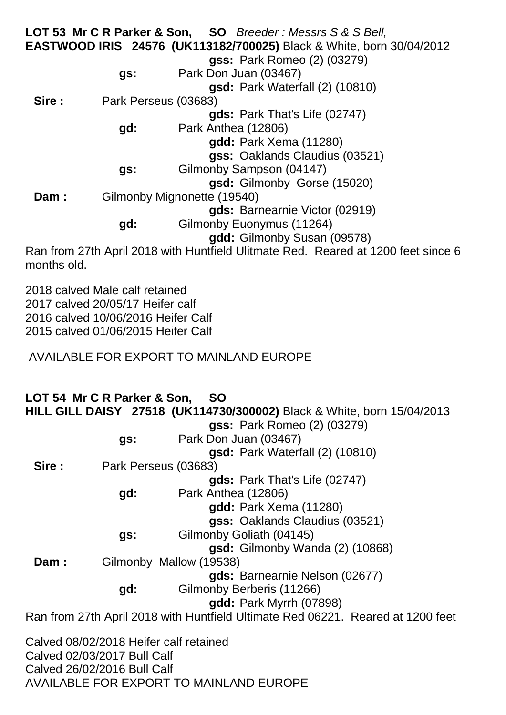**LOT 53 Mr C R Parker & Son, SO** *Breeder : Messrs S & S Bell,* **EASTWOOD IRIS 24576 (UK113182/700025)** Black & White, born 30/04/2012 **gss:** Park Romeo (2) (03279) **gs:** Park Don Juan (03467) **gsd:** Park Waterfall (2) (10810) **Sire :** Park Perseus (03683) **gds:** Park That's Life (02747) **gd:** Park Anthea (12806) **gdd:** Park Xema (11280) **gss:** Oaklands Claudius (03521) **gs:** Gilmonby Sampson (04147) **gsd:** Gilmonby Gorse (15020) **Dam :** Gilmonby Mignonette (19540) **gds:** Barnearnie Victor (02919) **gd:** Gilmonby Euonymus (11264) **gdd:** Gilmonby Susan (09578) Ran from 27th April 2018 with Huntfield Ulitmate Red. Reared at 1200 feet since 6

months old.

2018 calved Male calf retained 2017 calved 20/05/17 Heifer calf 2016 calved 10/06/2016 Heifer Calf 2015 calved 01/06/2015 Heifer Calf

AVAILABLE FOR EXPORT TO MAINLAND EUROPE

**LOT 54 Mr C R Parker & Son, SO HILL GILL DAISY 27518 (UK114730/300002)** Black & White, born 15/04/2013 **gss:** Park Romeo (2) (03279) **gs:** Park Don Juan (03467) **gsd:** Park Waterfall (2) (10810) **Sire :** Park Perseus (03683) **gds:** Park That's Life (02747) **gd:** Park Anthea (12806) **gdd:** Park Xema (11280) **gss:** Oaklands Claudius (03521) **gs:** Gilmonby Goliath (04145) **gsd:** Gilmonby Wanda (2) (10868) **Dam :** Gilmonby Mallow (19538) **gds:** Barnearnie Nelson (02677) **gd:** Gilmonby Berberis (11266) **gdd:** Park Myrrh (07898) Ran from 27th April 2018 with Huntfield Ultimate Red 06221. Reared at 1200 feet

Calved 08/02/2018 Heifer calf retained Calved 02/03/2017 Bull Calf Calved 26/02/2016 Bull Calf AVAILABLE FOR EXPORT TO MAINLAND EUROPE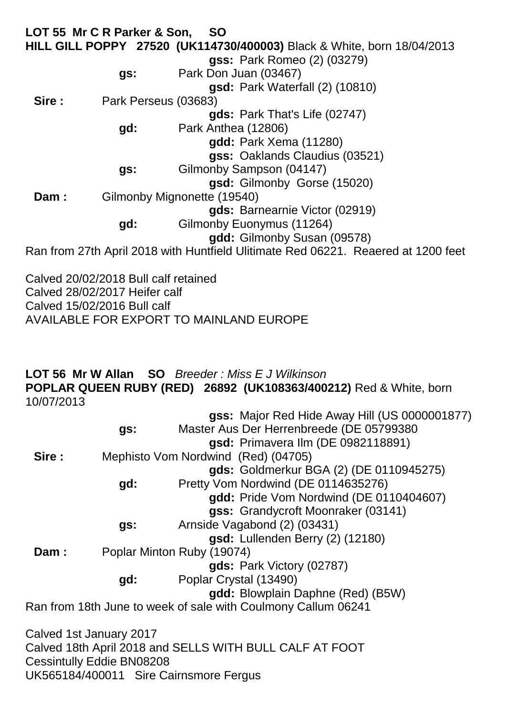**LOT 55 Mr C R Parker & Son, SO HILL GILL POPPY 27520 (UK114730/400003)** Black & White, born 18/04/2013 **gss:** Park Romeo (2) (03279) **gs:** Park Don Juan (03467) **gsd:** Park Waterfall (2) (10810) **Sire :** Park Perseus (03683) **gds:** Park That's Life (02747) **gd:** Park Anthea (12806) **gdd:** Park Xema (11280) **gss:** Oaklands Claudius (03521) **gs:** Gilmonby Sampson (04147) **gsd:** Gilmonby Gorse (15020) **Dam :** Gilmonby Mignonette (19540) **gds:** Barnearnie Victor (02919) **gd:** Gilmonby Euonymus (11264) **gdd:** Gilmonby Susan (09578) Ran from 27th April 2018 with Huntfield Ulitimate Red 06221. Reaered at 1200 feet

Calved 20/02/2018 Bull calf retained Calved 28/02/2017 Heifer calf Calved 15/02/2016 Bull calf AVAILABLE FOR EXPORT TO MAINLAND EUROPE

### **LOT 56 Mr W Allan SO** *Breeder : Miss E J Wilkinson* **POPLAR QUEEN RUBY (RED) 26892 (UK108363/400212)** Red & White, born 10/07/2013

|       |                         | gss: Major Red Hide Away Hill (US 0000001877)                 |
|-------|-------------------------|---------------------------------------------------------------|
|       | gs:                     | Master Aus Der Herrenbreede (DE 05799380                      |
|       |                         | gsd: Primavera IIm (DE 0982118891)                            |
| Sire: |                         | Mephisto Vom Nordwind (Red) (04705)                           |
|       |                         | gds: Goldmerkur BGA (2) (DE 0110945275)                       |
|       | gd:                     | Pretty Vom Nordwind (DE 0114635276)                           |
|       |                         | gdd: Pride Vom Nordwind (DE 0110404607)                       |
|       |                         | gss: Grandycroft Moonraker (03141)                            |
|       | gs:                     | Arnside Vagabond (2) (03431)                                  |
|       |                         | gsd: Lullenden Berry (2) (12180)                              |
| Dam:  |                         | Poplar Minton Ruby (19074)                                    |
|       |                         | gds: Park Victory (02787)                                     |
|       | gd:                     | Poplar Crystal (13490)                                        |
|       |                         | gdd: Blowplain Daphne (Red) (B5W)                             |
|       |                         | Ran from 18th June to week of sale with Coulmony Callum 06241 |
|       |                         |                                                               |
|       | Calved 1st January 2017 |                                                               |
|       |                         |                                                               |

Calved 18th April 2018 and SELLS WITH BULL CALF AT FOOT Cessintully Eddie BN08208 UK565184/400011 Sire Cairnsmore Fergus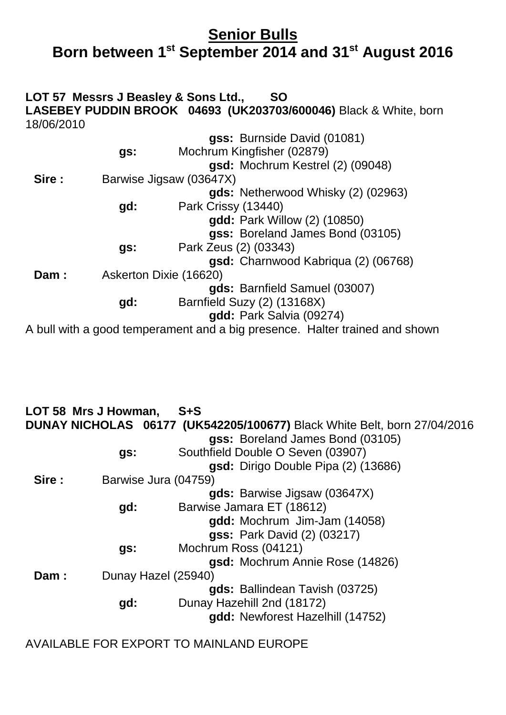## **Senior Bulls Born between 1st September 2014 and 31st August 2016**

### **LOT 57 Messrs J Beasley & Sons Ltd., SO LASEBEY PUDDIN BROOK 04693 (UK203703/600046)** Black & White, born 18/06/2010

|       |     | gss: Burnside David (01081)                                                  |
|-------|-----|------------------------------------------------------------------------------|
|       | gs: | Mochrum Kingfisher (02879)                                                   |
|       |     | gsd: Mochrum Kestrel (2) (09048)                                             |
| Sire: |     | Barwise Jigsaw (03647X)                                                      |
|       |     | gds: Netherwood Whisky (2) (02963)                                           |
|       | gd: | Park Crissy (13440)                                                          |
|       |     | <b>gdd:</b> Park Willow (2) (10850)                                          |
|       |     | gss: Boreland James Bond (03105)                                             |
|       | gs: | Park Zeus (2) (03343)                                                        |
|       |     | gsd: Charnwood Kabriqua (2) (06768)                                          |
| Dam:  |     | Askerton Dixie (16620)                                                       |
|       |     | gds: Barnfield Samuel (03007)                                                |
|       | gd: | Barnfield Suzy (2) (13168X)                                                  |
|       |     | gdd: Park Salvia (09274)                                                     |
|       |     | woda hui with a good temperament and a big presence. Halter trained and show |

A bull with a good temperament and a big presence. Halter trained and shown

|       | LOT 58 Mrs J Howman, | $S + S$                                                                         |
|-------|----------------------|---------------------------------------------------------------------------------|
|       |                      | <b>DUNAY NICHOLAS 06177 (UK542205/100677)</b> Black White Belt, born 27/04/2016 |
|       |                      | gss: Boreland James Bond (03105)                                                |
|       | gs:                  | Southfield Double O Seven (03907)                                               |
|       |                      | gsd: Dirigo Double Pipa (2) (13686)                                             |
| Sire: | Barwise Jura (04759) |                                                                                 |
|       |                      | gds: Barwise Jigsaw (03647X)                                                    |
|       | gd:                  | Barwise Jamara ET (18612)                                                       |
|       |                      | gdd: Mochrum Jim-Jam (14058)                                                    |
|       |                      | <b>gss: Park David (2) (03217)</b>                                              |
|       | gs:                  | Mochrum Ross (04121)                                                            |
|       |                      | gsd: Mochrum Annie Rose (14826)                                                 |
| Dam:  | Dunay Hazel (25940)  |                                                                                 |
|       |                      | gds: Ballindean Tavish (03725)                                                  |
|       | gd:                  | Dunay Hazehill 2nd (18172)                                                      |
|       |                      | gdd: Newforest Hazelhill (14752)                                                |
|       |                      |                                                                                 |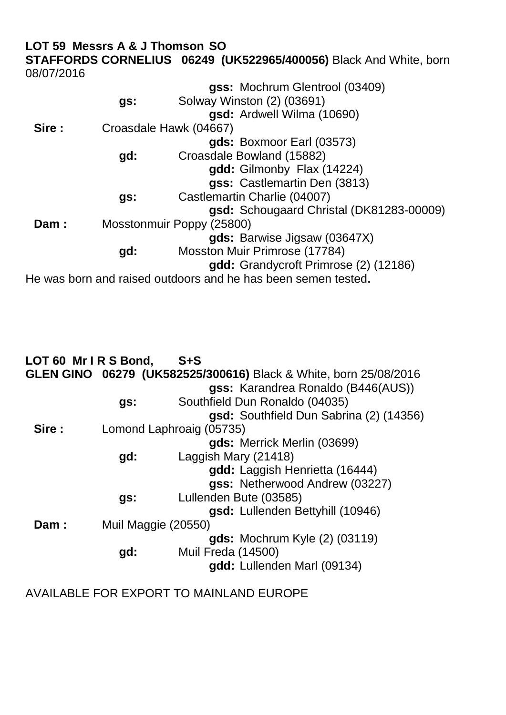#### **LOT 59 Messrs A & J Thomson SO STAFFORDS CORNELIUS 06249 (UK522965/400056)** Black And White, born 08/07/2016

|        |     | gss: Mochrum Glentrool (03409)                                |
|--------|-----|---------------------------------------------------------------|
|        | gs: | Solway Winston (2) (03691)                                    |
|        |     | gsd: Ardwell Wilma (10690)                                    |
| Sire : |     | Croasdale Hawk (04667)                                        |
|        |     | gds: Boxmoor Earl (03573)                                     |
|        | gd: | Croasdale Bowland (15882)                                     |
|        |     | gdd: Gilmonby Flax (14224)                                    |
|        |     | gss: Castlemartin Den (3813)                                  |
|        | gs: | Castlemartin Charlie (04007)                                  |
|        |     | gsd: Schougaard Christal (DK81283-00009)                      |
| Dam:   |     | Mosstonmuir Poppy (25800)                                     |
|        |     | gds: Barwise Jigsaw (03647X)                                  |
|        | gd: | Mosston Muir Primrose (17784)                                 |
|        |     | gdd: Grandycroft Primrose (2) (12186)                         |
|        |     | He was born and raised outdoors and he has been semen tested. |

| LOT 60 Mr IRS Bond, |                     | $S + S$                                                          |
|---------------------|---------------------|------------------------------------------------------------------|
|                     |                     | GLEN GINO 06279 (UK582525/300616) Black & White, born 25/08/2016 |
|                     |                     | gss: Karandrea Ronaldo (B446(AUS))                               |
|                     | gs:                 | Southfield Dun Ronaldo (04035)                                   |
|                     |                     | gsd: Southfield Dun Sabrina (2) (14356)                          |
| Sire:               |                     | Lomond Laphroaig (05735)                                         |
|                     |                     | gds: Merrick Merlin (03699)                                      |
|                     | gd:                 | Laggish Mary (21418)                                             |
|                     |                     | gdd: Laggish Henrietta (16444)                                   |
|                     |                     | gss: Netherwood Andrew (03227)                                   |
|                     | gs:                 | Lullenden Bute (03585)                                           |
|                     |                     | gsd: Lullenden Bettyhill (10946)                                 |
| Dam:                | Muil Maggie (20550) |                                                                  |
|                     |                     | <b>gds:</b> Mochrum Kyle (2) (03119)                             |
|                     | gd:                 | Muil Freda (14500)                                               |
|                     |                     | gdd: Lullenden Marl (09134)                                      |
|                     |                     |                                                                  |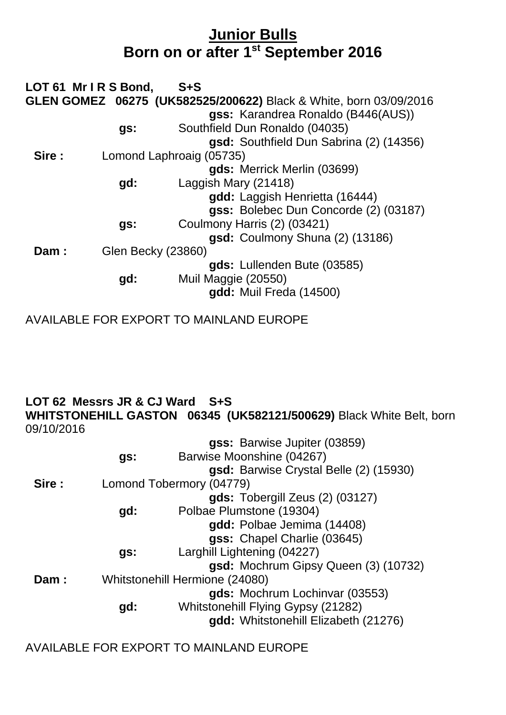## **Junior Bulls Born on or after 1st September 2016**

| LOT 61 Mr I R S Bond,     | $S + S$                                                           |
|---------------------------|-------------------------------------------------------------------|
|                           | GLEN GOMEZ 06275 (UK582525/200622) Black & White, born 03/09/2016 |
|                           | gss: Karandrea Ronaldo (B446(AUS))                                |
| gs:                       | Southfield Dun Ronaldo (04035)                                    |
|                           | gsd: Southfield Dun Sabrina (2) (14356)                           |
|                           | Lomond Laphroaig (05735)                                          |
|                           | gds: Merrick Merlin (03699)                                       |
| gd:                       | Laggish Mary (21418)                                              |
|                           | gdd: Laggish Henrietta (16444)                                    |
|                           | gss: Bolebec Dun Concorde (2) (03187)                             |
| gs:                       | Coulmony Harris (2) (03421)                                       |
|                           | gsd: Coulmony Shuna (2) (13186)                                   |
| <b>Glen Becky (23860)</b> |                                                                   |
|                           | gds: Lullenden Bute (03585)                                       |
| gd:                       | Muil Maggie (20550)                                               |
|                           | gdd: Muil Freda (14500)                                           |
|                           |                                                                   |

AVAILABLE FOR EXPORT TO MAINLAND EUROPE

#### **LOT 62 Messrs JR & CJ Ward S+S WHITSTONEHILL GASTON 06345 (UK582121/500629)** Black White Belt, born 09/10/2016

|       |     | gss: Barwise Jupiter (03859)           |
|-------|-----|----------------------------------------|
|       | gs: | Barwise Moonshine (04267)              |
|       |     | gsd: Barwise Crystal Belle (2) (15930) |
| Sire: |     | Lomond Tobermory (04779)               |
|       |     | gds: Tobergill Zeus (2) (03127)        |
|       | gd: | Polbae Plumstone (19304)               |
|       |     | gdd: Polbae Jemima (14408)             |
|       |     | gss: Chapel Charlie (03645)            |
|       | gs: | Larghill Lightening (04227)            |
|       |     | gsd: Mochrum Gipsy Queen (3) (10732)   |
| Dam:  |     | Whitstonehill Hermione (24080)         |
|       |     | gds: Mochrum Lochinvar (03553)         |
|       | gd: | Whitstonehill Flying Gypsy (21282)     |
|       |     | gdd: Whitstonehill Elizabeth (21276)   |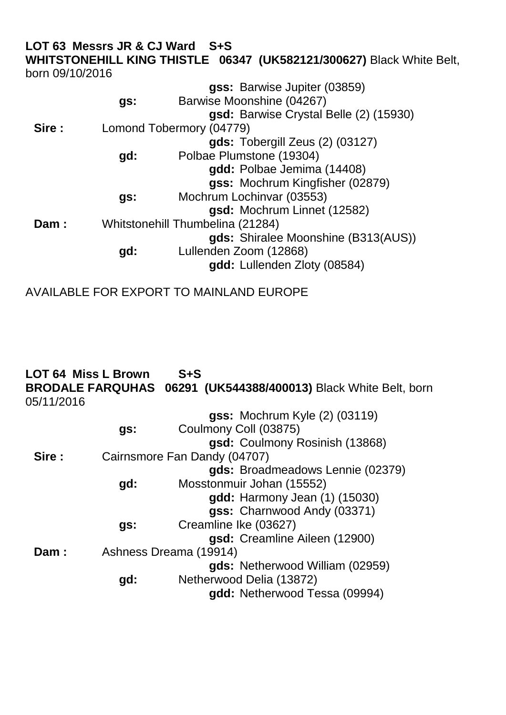| born 09/10/2016 | LOT 63 Messrs JR & CJ Ward S+S | <b>WHITSTONEHILL KING THISTLE 06347 (UK582121/300627) Black White Belt,</b> |  |
|-----------------|--------------------------------|-----------------------------------------------------------------------------|--|
|                 |                                | gss: Barwise Jupiter (03859)                                                |  |
|                 | gs:                            | Barwise Moonshine (04267)                                                   |  |
|                 |                                | gsd: Barwise Crystal Belle (2) (15930)                                      |  |
| Sire:           |                                | Lomond Tobermory (04779)                                                    |  |
|                 |                                | $gds$ : Tobergill Zeus $(2)$ $(03127)$                                      |  |
|                 | gd:                            | Polbae Plumstone (19304)                                                    |  |
|                 |                                | gdd: Polbae Jemima (14408)                                                  |  |
|                 |                                | gss: Mochrum Kingfisher (02879)                                             |  |
|                 | gs:                            | Mochrum Lochinvar (03553)                                                   |  |
|                 |                                | gsd: Mochrum Linnet (12582)                                                 |  |
| <b>Dam :</b>    |                                | Whitstonehill Thumbelina (21284)                                            |  |

**gds:** Shiralee Moonshine (B313(AUS))

**gd:** Lullenden Zoom (12868)

gdd: Lullenden Zloty (08584)

| 05/11/2016 | <b>LOT 64 Miss L Brown</b> | $S + S$<br>BRODALE FARQUHAS 06291 (UK544388/400013) Black White Belt, born |
|------------|----------------------------|----------------------------------------------------------------------------|
|            |                            | <b>gss: Mochrum Kyle (2) (03119)</b>                                       |
|            | gs:                        | Coulmony Coll (03875)                                                      |
|            |                            | gsd: Coulmony Rosinish (13868)                                             |
| Sire:      |                            | Cairnsmore Fan Dandy (04707)                                               |
|            |                            | gds: Broadmeadows Lennie (02379)                                           |
|            | gd:                        | Mosstonmuir Johan (15552)                                                  |
|            |                            | gdd: Harmony Jean (1) (15030)                                              |
|            |                            | gss: Charnwood Andy (03371)                                                |
|            | gs:                        | Creamline Ike (03627)                                                      |
|            |                            | gsd: Creamline Aileen (12900)                                              |
| Dam:       |                            | Ashness Dreama (19914)                                                     |
|            |                            | gds: Netherwood William (02959)                                            |
|            | gd:                        | Netherwood Delia (13872)                                                   |
|            |                            | gdd: Netherwood Tessa (09994)                                              |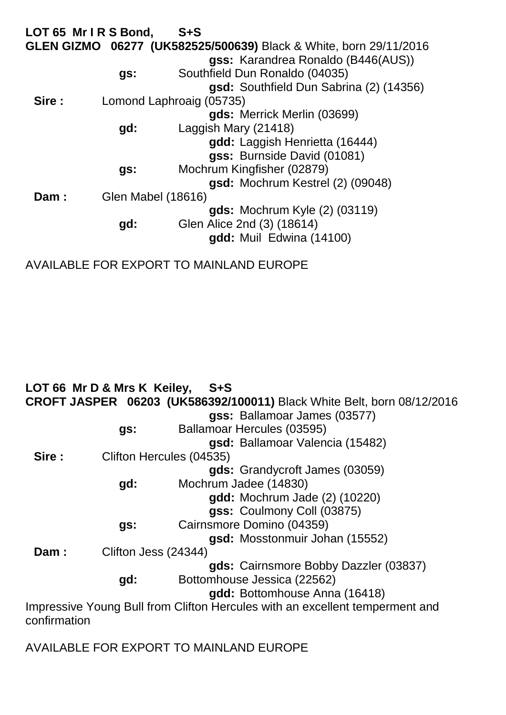|       | LOT 65 Mr IRS Bond, | $S + S$                                                           |
|-------|---------------------|-------------------------------------------------------------------|
|       |                     | GLEN GIZMO 06277 (UK582525/500639) Black & White, born 29/11/2016 |
|       |                     | gss: Karandrea Ronaldo (B446(AUS))                                |
|       | gs:                 | Southfield Dun Ronaldo (04035)                                    |
|       |                     | gsd: Southfield Dun Sabrina (2) (14356)                           |
| Sire: |                     | Lomond Laphroaig (05735)                                          |
|       |                     | gds: Merrick Merlin (03699)                                       |
|       | gd:                 | Laggish Mary (21418)                                              |
|       |                     | gdd: Laggish Henrietta (16444)                                    |
|       |                     | gss: Burnside David (01081)                                       |
|       | gs:                 | Mochrum Kingfisher (02879)                                        |
|       |                     | gsd: Mochrum Kestrel (2) (09048)                                  |
| Dam:  | Glen Mabel (18616)  |                                                                   |
|       |                     | gds: Mochrum Kyle (2) (03119)                                     |
|       | gd:                 | Glen Alice 2nd (3) (18614)                                        |
|       |                     | gdd: Muil Edwina (14100)                                          |
|       |                     |                                                                   |

AVAILABLE FOR EXPORT TO MAINLAND EUROPE

|              | LOT 66 Mr D & Mrs K Keiley, | - S+S                                                                         |
|--------------|-----------------------------|-------------------------------------------------------------------------------|
|              |                             | <b>CROFT JASPER 06203 (UK586392/100011)</b> Black White Belt, born 08/12/2016 |
|              |                             | gss: Ballamoar James (03577)                                                  |
|              | gs:                         | Ballamoar Hercules (03595)                                                    |
|              |                             | gsd: Ballamoar Valencia (15482)                                               |
| Sire :       | Clifton Hercules (04535)    |                                                                               |
|              |                             | gds: Grandycroft James (03059)                                                |
|              | gd:                         | Mochrum Jadee (14830)                                                         |
|              |                             | <b>gdd:</b> Mochrum Jade (2) (10220)                                          |
|              |                             | gss: Coulmony Coll (03875)                                                    |
|              | gs:                         | Cairnsmore Domino (04359)                                                     |
|              |                             | gsd: Mosstonmuir Johan (15552)                                                |
| Dam:         | Clifton Jess (24344)        |                                                                               |
|              |                             | gds: Cairnsmore Bobby Dazzler (03837)                                         |
|              | gd:                         | Bottomhouse Jessica (22562)                                                   |
|              |                             | gdd: Bottomhouse Anna (16418)                                                 |
| confirmation |                             | Impressive Young Bull from Clifton Hercules with an excellent temperment and  |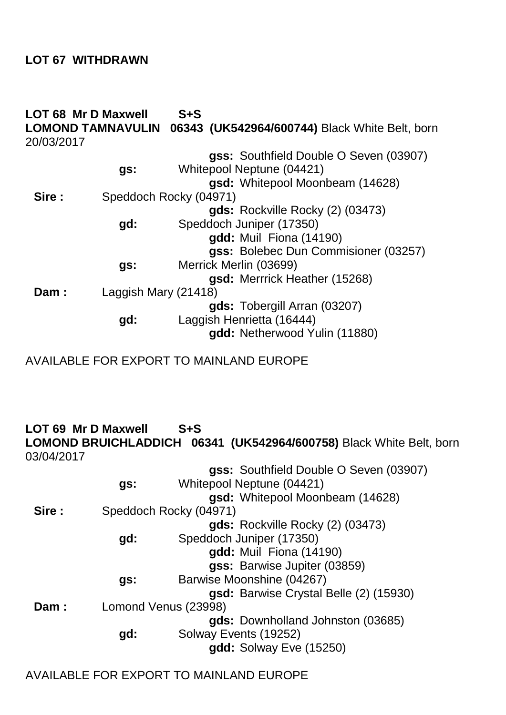### **LOT 67 WITHDRAWN**

| 20/03/2017 | <b>LOT 68 Mr D Maxwell</b><br><b>LOMOND TAMNAVULIN</b> | $S + S$<br>06343 (UK542964/600744) Black White Belt, born                                              |
|------------|--------------------------------------------------------|--------------------------------------------------------------------------------------------------------|
|            | gs:                                                    | gss: Southfield Double O Seven (03907)<br>Whitepool Neptune (04421)<br>gsd: Whitepool Moonbeam (14628) |
| Sire:      |                                                        | Speddoch Rocky (04971)                                                                                 |
|            | gd:                                                    | gds: Rockville Rocky (2) (03473)<br>Speddoch Juniper (17350)                                           |
|            |                                                        | gdd: Muil Fiona (14190)<br>gss: Bolebec Dun Commisioner (03257)                                        |
|            | gs:                                                    | Merrick Merlin (03699)                                                                                 |
| Dam:       | Laggish Mary (21418)                                   | gsd: Merrrick Heather (15268)                                                                          |
|            | gd:                                                    | gds: Tobergill Arran (03207)<br>Laggish Henrietta (16444)<br>gdd: Netherwood Yulin (11880)             |

AVAILABLE FOR EXPORT TO MAINLAND EUROPE

**LOT 69 Mr D Maxwell S+S**

**LOMOND BRUICHLADDICH 06341 (UK542964/600758)** Black White Belt, born 03/04/2017

|       |     | gss: Southfield Double O Seven (03907) |
|-------|-----|----------------------------------------|
|       | gs: | Whitepool Neptune (04421)              |
|       |     | gsd: Whitepool Moonbeam (14628)        |
| Sire: |     | Speddoch Rocky (04971)                 |
|       |     | gds: Rockville Rocky (2) (03473)       |
|       | gd: | Speddoch Juniper (17350)               |
|       |     | gdd: Muil Fiona (14190)                |
|       |     | gss: Barwise Jupiter (03859)           |
|       | gs: | Barwise Moonshine (04267)              |
|       |     | gsd: Barwise Crystal Belle (2) (15930) |
| Dam:  |     | Lomond Venus (23998)                   |
|       |     | gds: Downholland Johnston (03685)      |
|       | gd: | Solway Events (19252)                  |
|       |     | gdd: Solway Eve (15250)                |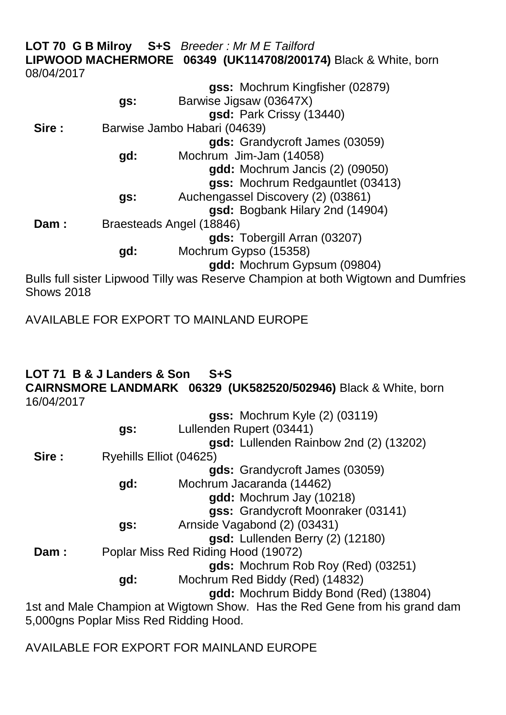|                   |                          | <b>LOT 70 G B Milroy S+S</b> Breeder: Mr M E Tailford                             |
|-------------------|--------------------------|-----------------------------------------------------------------------------------|
|                   |                          | LIPWOOD MACHERMORE 06349 (UK114708/200174) Black & White, born                    |
| 08/04/2017        |                          |                                                                                   |
|                   |                          | gss: Mochrum Kingfisher (02879)                                                   |
|                   | gs:                      | Barwise Jigsaw (03647X)                                                           |
|                   |                          | gsd: Park Crissy (13440)                                                          |
| Sire :            |                          | Barwise Jambo Habari (04639)                                                      |
|                   |                          | gds: Grandycroft James (03059)                                                    |
|                   | gd:                      | Mochrum Jim-Jam (14058)                                                           |
|                   |                          | gdd: Mochrum Jancis (2) (09050)                                                   |
|                   |                          | gss: Mochrum Redgauntlet (03413)                                                  |
|                   | gs:                      | Auchengassel Discovery (2) (03861)                                                |
|                   |                          | gsd: Bogbank Hilary 2nd (14904)                                                   |
| Dam:              | Braesteads Angel (18846) |                                                                                   |
|                   |                          | gds: Tobergill Arran (03207)                                                      |
|                   | gd:                      | Mochrum Gypso (15358)                                                             |
|                   |                          | gdd: Mochrum Gypsum (09804)                                                       |
|                   |                          | Bulls full sister Lipwood Tilly was Reserve Champion at both Wigtown and Dumfries |
| <b>Shows 2018</b> |                          |                                                                                   |

AVAILABLE FOR EXPORT TO MAINLAND EUROPE

### **LOT 71 B & J Landers & Son S+S**

**CAIRNSMORE LANDMARK 06329 (UK582520/502946)** Black & White, born 16/04/2017

|       |                         | gss: Mochrum Kyle (2) (03119)                                              |
|-------|-------------------------|----------------------------------------------------------------------------|
|       | gs:                     | Lullenden Rupert (03441)                                                   |
|       |                         | gsd: Lullenden Rainbow 2nd (2) (13202)                                     |
| Sire: | Ryehills Elliot (04625) |                                                                            |
|       |                         | gds: Grandycroft James (03059)                                             |
|       | gd:                     | Mochrum Jacaranda (14462)                                                  |
|       |                         | gdd: Mochrum Jay (10218)                                                   |
|       |                         | gss: Grandycroft Moonraker (03141)                                         |
|       | gs:                     | Arnside Vagabond (2) (03431)                                               |
|       |                         | gsd: Lullenden Berry (2) (12180)                                           |
| Dam:  |                         | Poplar Miss Red Riding Hood (19072)                                        |
|       |                         | gds: Mochrum Rob Roy (Red) (03251)                                         |
|       | gd:                     | Mochrum Red Biddy (Red) (14832)                                            |
|       |                         | gdd: Mochrum Biddy Bond (Red) (13804)                                      |
|       |                         | 1st and Male Champion at Wigtown Show. Has the Red Gene from his grand dam |
|       |                         | 5,000gns Poplar Miss Red Ridding Hood.                                     |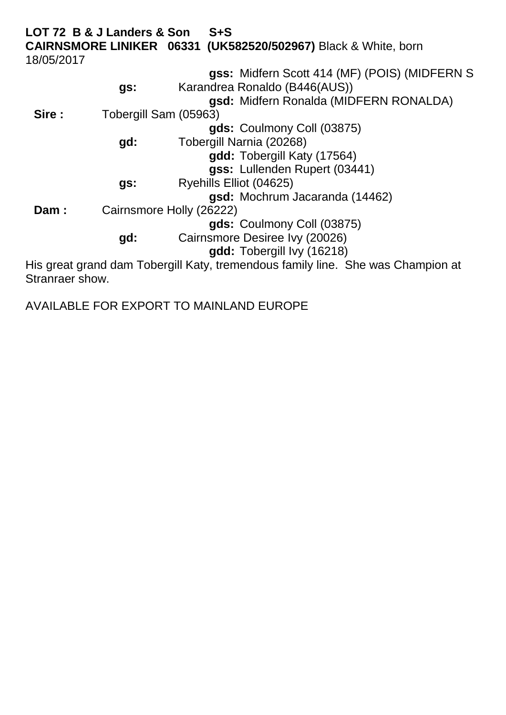**LOT 72 B & J Landers & Son S+S CAIRNSMORE LINIKER 06331 (UK582520/502967)** Black & White, born 18/05/2017 **gss:** Midfern Scott 414 (MF) (POIS) (MIDFERN S **gs:** Karandrea Ronaldo (B446(AUS)) **gsd:** Midfern Ronalda (MIDFERN RONALDA) Sire : Tobergill Sam (05963) **gds:** Coulmony Coll (03875) **gd:** Tobergill Narnia (20268) **gdd:** Tobergill Katy (17564) **gss:** Lullenden Rupert (03441) **gs:** Ryehills Elliot (04625) **gsd:** Mochrum Jacaranda (14462) **Dam :** Cairnsmore Holly (26222) **gds:** Coulmony Coll (03875) **gd:** Cairnsmore Desiree Ivy (20026) **gdd:** Tobergill Ivy (16218) His great grand dam Tobergill Katy, tremendous family line. She was Champion at

Stranraer show.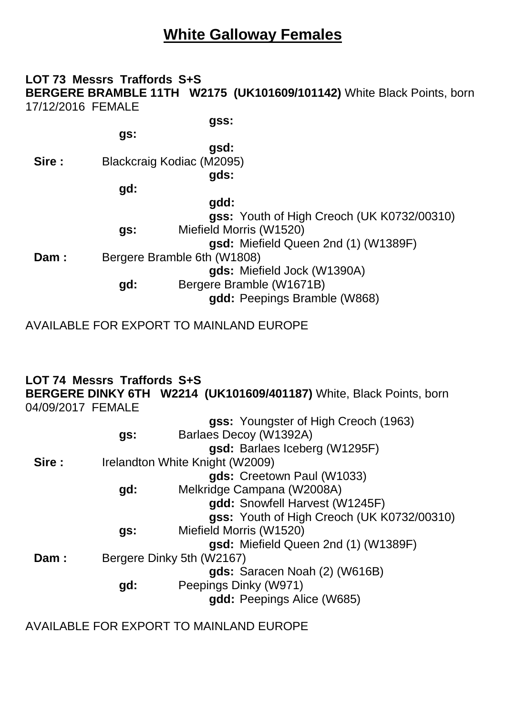## **White Galloway Females**

#### **LOT 73 Messrs Traffords S+S BERGERE BRAMBLE 11TH W2175 (UK101609/101142)** White Black Points, born 17/12/2016 FEMALE

**gss:**

**gsd: Sire :** Blackcraig Kodiac (M2095) **gds:**

**gd:**

**gs:**

**gdd: gss:** Youth of High Creoch (UK K0732/00310) **gs:** Miefield Morris (W1520) **gsd:** Miefield Queen 2nd (1) (W1389F) **Dam :** Bergere Bramble 6th (W1808)

**gds:** Miefield Jock (W1390A)

**gd:** Bergere Bramble (W1671B) **gdd:** Peepings Bramble (W868)

AVAILABLE FOR EXPORT TO MAINLAND EUROPE

#### **LOT 74 Messrs Traffords S+S BERGERE DINKY 6TH W2214 (UK101609/401187)** White, Black Points, born 04/09/2017 FEMALE

|        |                                 | gss: Youngster of High Creoch (1963)       |  |  |  |  |
|--------|---------------------------------|--------------------------------------------|--|--|--|--|
|        | gs:                             | Barlaes Decoy (W1392A)                     |  |  |  |  |
|        |                                 | gsd: Barlaes Iceberg (W1295F)              |  |  |  |  |
| Sire : | Irelandton White Knight (W2009) |                                            |  |  |  |  |
|        |                                 | gds: Creetown Paul (W1033)                 |  |  |  |  |
|        | gd:                             | Melkridge Campana (W2008A)                 |  |  |  |  |
|        |                                 | gdd: Snowfell Harvest (W1245F)             |  |  |  |  |
|        |                                 | gss: Youth of High Creoch (UK K0732/00310) |  |  |  |  |
|        | gs:                             | Miefield Morris (W1520)                    |  |  |  |  |
|        |                                 | gsd: Miefield Queen 2nd (1) (W1389F)       |  |  |  |  |
| Dam:   | Bergere Dinky 5th (W2167)       |                                            |  |  |  |  |
|        |                                 | gds: Saracen Noah (2) (W616B)              |  |  |  |  |
|        | gd:                             | Peepings Dinky (W971)                      |  |  |  |  |
|        |                                 | gdd: Peepings Alice (W685)                 |  |  |  |  |
|        |                                 |                                            |  |  |  |  |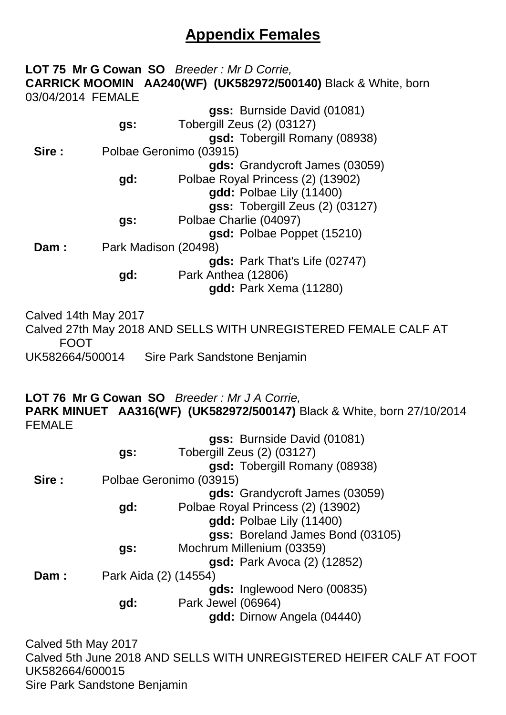## **Appendix Females**

#### **LOT 75 Mr G Cowan SO** *Breeder : Mr D Corrie,* **CARRICK MOOMIN AA240(WF) (UK582972/500140)** Black & White, born 03/04/2014 FEMALE **g** Burnside David (01081)

|       |                         | gss: Burnside David (01081)       |  |  |  |
|-------|-------------------------|-----------------------------------|--|--|--|
|       | gs:                     | Tobergill Zeus (2) (03127)        |  |  |  |
|       |                         | gsd: Tobergill Romany (08938)     |  |  |  |
| Sire: | Polbae Geronimo (03915) |                                   |  |  |  |
|       |                         | gds: Grandycroft James (03059)    |  |  |  |
|       | gd:                     | Polbae Royal Princess (2) (13902) |  |  |  |
|       |                         | gdd: Polbae Lily (11400)          |  |  |  |
|       |                         | gss: Tobergill Zeus (2) (03127)   |  |  |  |
|       | gs:                     | Polbae Charlie (04097)            |  |  |  |
|       |                         | gsd: Polbae Poppet (15210)        |  |  |  |
| Dam:  | Park Madison (20498)    |                                   |  |  |  |
|       |                         | gds: Park That's Life (02747)     |  |  |  |
|       | gd:                     | Park Anthea (12806)               |  |  |  |
|       |                         | gdd: Park Xema (11280)            |  |  |  |

Calved 14th May 2017 Calved 27th May 2018 AND SELLS WITH UNREGISTERED FEMALE CALF AT FOOT UK582664/500014 Sire Park Sandstone Benjamin

**LOT 76 Mr G Cowan SO** *Breeder : Mr J A Corrie,* **PARK MINUET AA316(WF) (UK582972/500147)** Black & White, born 27/10/2014 FEMALE **gss:** Burnside David (01081)

|       |                       | gss: Burnside David (01081)        |  |
|-------|-----------------------|------------------------------------|--|
|       | gs:                   | Tobergill Zeus (2) (03127)         |  |
|       |                       | gsd: Tobergill Romany (08938)      |  |
| Sire: |                       | Polbae Geronimo (03915)            |  |
|       |                       | gds: Grandycroft James (03059)     |  |
|       | gd:                   | Polbae Royal Princess (2) (13902)  |  |
|       |                       | gdd: Polbae Lily (11400)           |  |
|       |                       | gss: Boreland James Bond (03105)   |  |
|       | gs:                   | Mochrum Millenium (03359)          |  |
|       |                       | <b>gsd:</b> Park Avoca (2) (12852) |  |
| Dam:  | Park Aida (2) (14554) |                                    |  |
|       |                       | gds: Inglewood Nero (00835)        |  |
|       | gd:                   | Park Jewel (06964)                 |  |
|       |                       | gdd: Dirnow Angela (04440)         |  |
|       |                       |                                    |  |

Calved 5th May 2017 Calved 5th June 2018 AND SELLS WITH UNREGISTERED HEIFER CALF AT FOOT UK582664/600015 Sire Park Sandstone Benjamin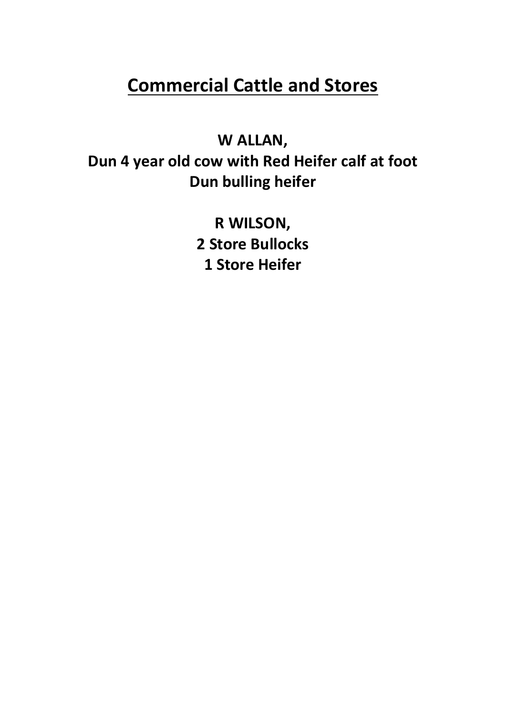# **Commercial Cattle and Stores**

## **W ALLAN,**

**Dun 4 year old cow with Red Heifer calf at foot Dun bulling heifer**

> **R WILSON, 2 Store Bullocks 1 Store Heifer**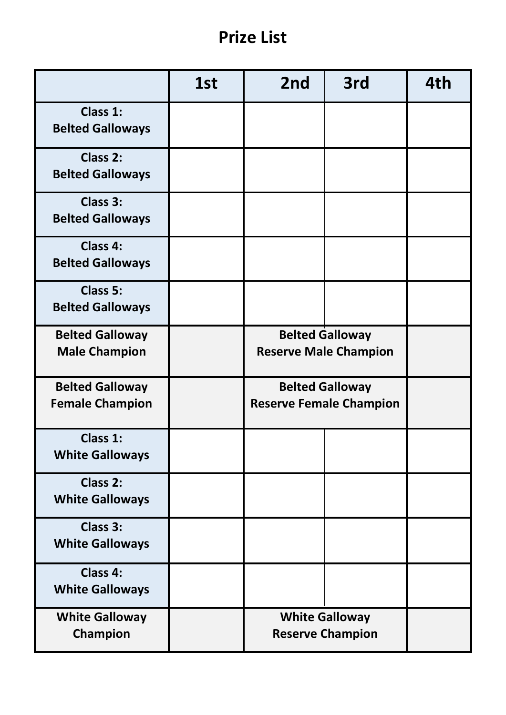## **Prize List**

|                                                  | 1st | 2nd                                                      | 3rd | 4th |
|--------------------------------------------------|-----|----------------------------------------------------------|-----|-----|
| Class 1:<br><b>Belted Galloways</b>              |     |                                                          |     |     |
| Class 2:<br><b>Belted Galloways</b>              |     |                                                          |     |     |
| Class 3:<br><b>Belted Galloways</b>              |     |                                                          |     |     |
| Class 4:<br><b>Belted Galloways</b>              |     |                                                          |     |     |
| Class 5:<br><b>Belted Galloways</b>              |     |                                                          |     |     |
| <b>Belted Galloway</b><br><b>Male Champion</b>   |     | <b>Belted Galloway</b><br><b>Reserve Male Champion</b>   |     |     |
| <b>Belted Galloway</b><br><b>Female Champion</b> |     | <b>Belted Galloway</b><br><b>Reserve Female Champion</b> |     |     |
| <b>Class 1:</b><br><b>White Galloways</b>        |     |                                                          |     |     |
| Class 2:<br><b>White Galloways</b>               |     |                                                          |     |     |
| Class 3:<br><b>White Galloways</b>               |     |                                                          |     |     |
| Class 4:<br><b>White Galloways</b>               |     |                                                          |     |     |
| <b>White Galloway</b><br>Champion                |     | <b>White Galloway</b><br><b>Reserve Champion</b>         |     |     |